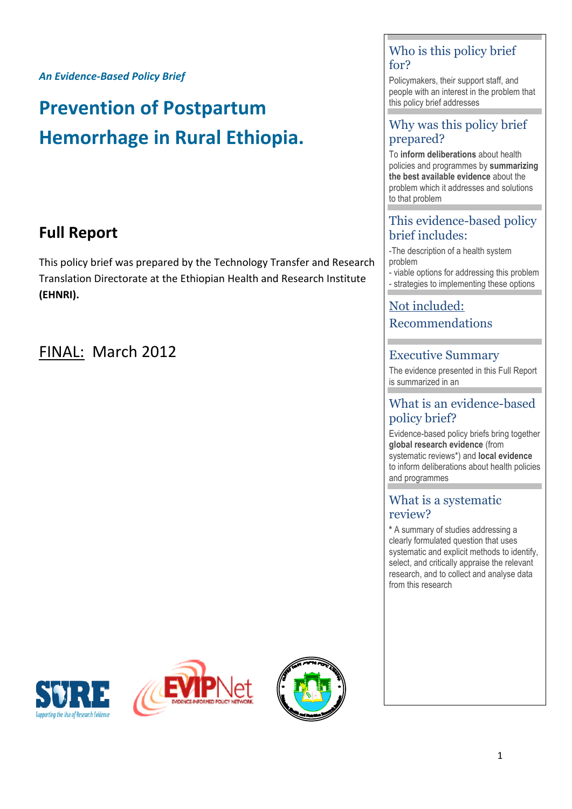*An Evidence-Based Policy Brief*

# **Prevention of Postpartum Hemorrhage in Rural Ethiopia.**

# **Full Report**

This policy brief was prepared by the Technology Transfer and Research Translation Directorate at the Ethiopian Health and Research Institute **(EHNRI).**

# FINAL: March 2012







# Who is this policy brief for?

Policymakers, their support staff, and people with an interest in the problem that this policy brief addresses

# Why was this policy brief prepared?

To **inform deliberations** about health policies and programmes by **summarizing the best available evidence** about the problem which it addresses and solutions to that problem

# This evidence-based policy brief includes:

-The description of a health system problem

- viable options for addressing this problem - strategies to implementing these options

# Not included: Recommendations

# Executive Summary

The evidence presented in this Full Report is summarized in an

# What is an evidence-based policy brief?

Evidence-based policy briefs bring together **global research evidence** (from systematic reviews\*) and **local evidence** to inform deliberations about health policies and programmes

# What is a systematic review?

**\*** A summary of studies addressing a clearly formulated question that uses systematic and explicit methods to identify, select, and critically appraise the relevant research, and to collect and analyse data from this research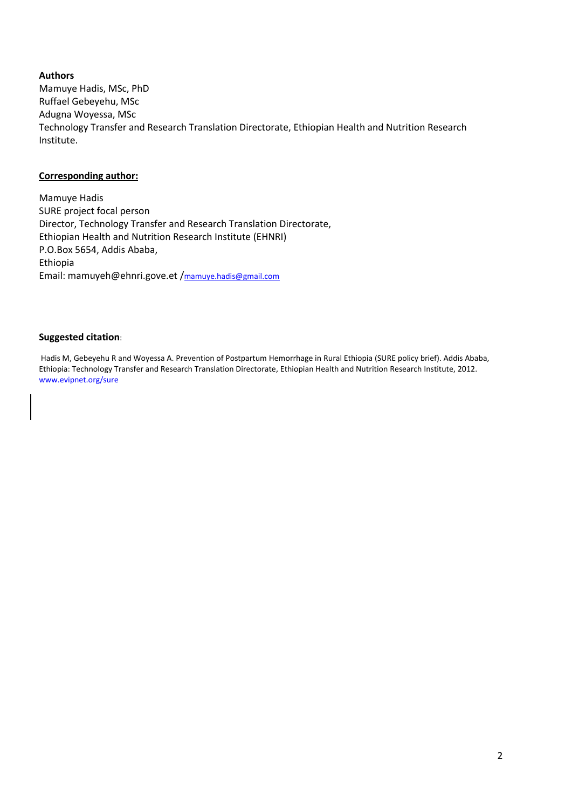#### **Authors**

Mamuye Hadis, MSc, PhD Ruffael Gebeyehu, MSc Adugna Woyessa, MSc Technology Transfer and Research Translation Directorate, Ethiopian Health and Nutrition Research Institute.

#### **Corresponding author:**

Mamuye Hadis SURE project focal person Director, Technology Transfer and Research Translation Directorate, Ethiopian Health and Nutrition Research Institute (EHNRI) P.O.Box 5654, Addis Ababa, Ethiopia Email: mamuyeh@ehnri.gove.et /[mamuye.hadis@gmail.com](mailto:mamuye.hadis@gmail.com)

#### **Suggested citation**:

Hadis M, Gebeyehu R and Woyessa A. Prevention of Postpartum Hemorrhage in Rural Ethiopia (SURE policy brief). Addis Ababa, Ethiopia: Technology Transfer and Research Translation Directorate, Ethiopian Health and Nutrition Research Institute, 2012. www.evipnet.org/sure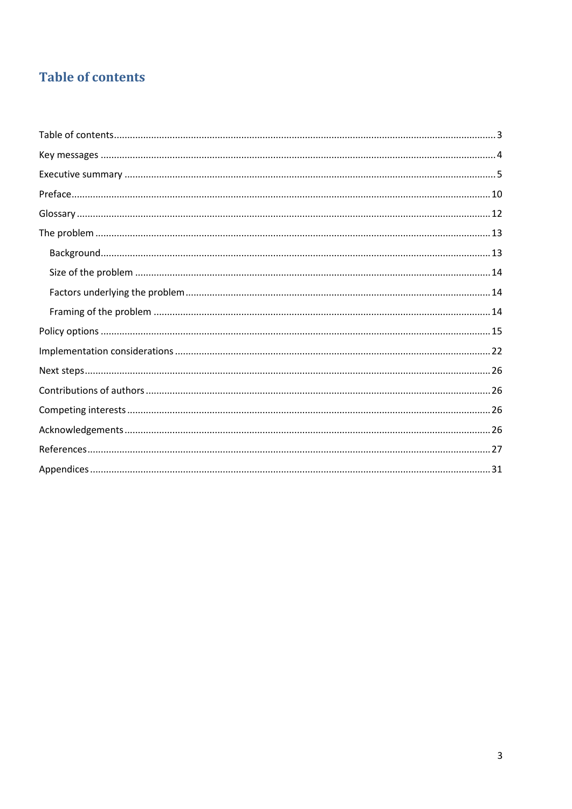# <span id="page-2-0"></span>**Table of contents**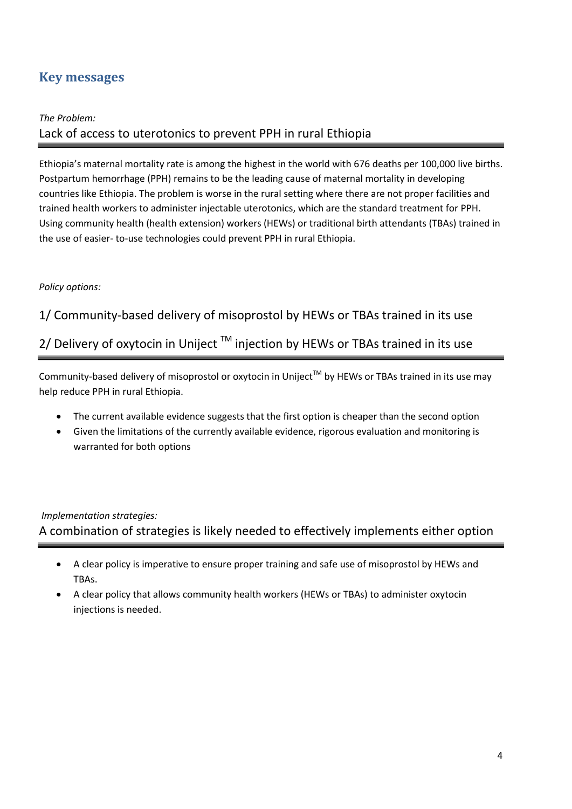# <span id="page-3-0"></span>**Key messages**

### *The Problem:*

# Lack of access to uterotonics to prevent PPH in rural Ethiopia

Ethiopia's maternal mortality rate is among the highest in the world with 676 deaths per 100,000 live births. Postpartum hemorrhage (PPH) remains to be the leading cause of maternal mortality in developing countries like Ethiopia. The problem is worse in the rural setting where there are not proper facilities and trained health workers to administer injectable uterotonics, which are the standard treatment for PPH. Using community health (health extension) workers (HEWs) or traditional birth attendants (TBAs) trained in the use of easier- to-use technologies could prevent PPH in rural Ethiopia.

### *Policy options:*

### 1/ Community-based delivery of misoprostol by HEWs or TBAs trained in its use

# 2/ Delivery of oxytocin in Uniject  $TM$  injection by HEWs or TBAs trained in its use

Community-based delivery of misoprostol or oxytocin in Uniject™ by HEWs or TBAs trained in its use may help reduce PPH in rural Ethiopia.

- The current available evidence suggests that the first option is cheaper than the second option
- Given the limitations of the currently available evidence, rigorous evaluation and monitoring is warranted for both options

### *Implementation strategies:*

A combination of strategies is likely needed to effectively implements either option

- A clear policy is imperative to ensure proper training and safe use of misoprostol by HEWs and TBAs.
- A clear policy that allows community health workers (HEWs or TBAs) to administer oxytocin injections is needed.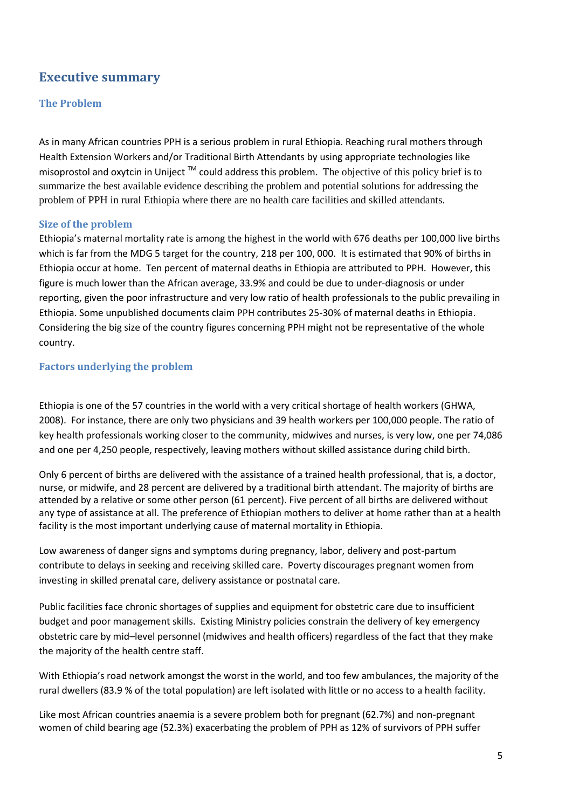# <span id="page-4-0"></span>**Executive summary**

### **The Problem**

As in many African countries PPH is a serious problem in rural Ethiopia. Reaching rural mothers through Health Extension Workers and/or Traditional Birth Attendants by using appropriate technologies like misoprostol and oxytcin in Uniject  $TM$  could address this problem. The objective of this policy brief is to summarize the best available evidence describing the problem and potential solutions for addressing the problem of PPH in rural Ethiopia where there are no health care facilities and skilled attendants.

#### **Size of the problem**

Ethiopia's maternal mortality rate is among the highest in the world with 676 deaths per 100,000 live births which is far from the MDG 5 target for the country, 218 per 100, 000. It is estimated that 90% of births in Ethiopia occur at home. Ten percent of maternal deaths in Ethiopia are attributed to PPH. However, this figure is much lower than the African average, 33.9% and could be due to under-diagnosis or under reporting, given the poor infrastructure and very low ratio of health professionals to the public prevailing in Ethiopia. Some unpublished documents claim PPH contributes 25-30% of maternal deaths in Ethiopia. Considering the big size of the country figures concerning PPH might not be representative of the whole country.

### **Factors underlying the problem**

Ethiopia is one of the 57 countries in the world with a very critical shortage of health workers (GHWA, 2008). For instance, there are only two physicians and 39 health workers per 100,000 people. The ratio of key health professionals working closer to the community, midwives and nurses, is very low, one per 74,086 and one per 4,250 people, respectively, leaving mothers without skilled assistance during child birth.

Only 6 percent of births are delivered with the assistance of a trained health professional, that is, a doctor, nurse, or midwife, and 28 percent are delivered by a traditional birth attendant. The majority of births are attended by a relative or some other person (61 percent). Five percent of all births are delivered without any type of assistance at all. The preference of Ethiopian mothers to deliver at home rather than at a health facility is the most important underlying cause of maternal mortality in Ethiopia.

Low awareness of danger signs and symptoms during pregnancy, labor, delivery and post-partum contribute to delays in seeking and receiving skilled care. Poverty discourages pregnant women from investing in skilled prenatal care, delivery assistance or postnatal care.

Public facilities face chronic shortages of supplies and equipment for obstetric care due to insufficient budget and poor management skills. Existing Ministry policies constrain the delivery of key emergency obstetric care by mid–level personnel (midwives and health officers) regardless of the fact that they make the majority of the health centre staff.

With Ethiopia's road network amongst the worst in the world, and too few ambulances, the majority of the rural dwellers (83.9 % of the total population) are left isolated with little or no access to a health facility.

Like most African countries anaemia is a severe problem both for pregnant (62.7%) and non-pregnant women of child bearing age (52.3%) exacerbating the problem of PPH as 12% of survivors of PPH suffer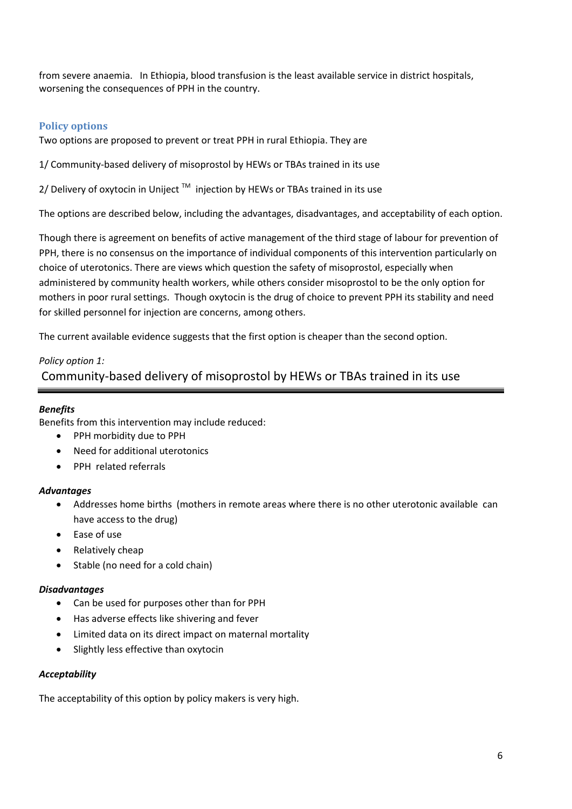from severe anaemia. In Ethiopia, blood transfusion is the least available service in district hospitals, worsening the consequences of PPH in the country.

### **Policy options**

Two options are proposed to prevent or treat PPH in rural Ethiopia. They are

1/ Community-based delivery of misoprostol by HEWs or TBAs trained in its use

2/ Delivery of oxytocin in Uniject  $^{\text{\tiny{\textsf{TM}}}}$  injection by HEWs or TBAs trained in its use

The options are described below, including the advantages, disadvantages, and acceptability of each option.

Though there is agreement on benefits of active management of the third stage of labour for prevention of PPH, there is no consensus on the importance of individual components of this intervention particularly on choice of uterotonics. There are views which question the safety of misoprostol, especially when administered by community health workers, while others consider misoprostol to be the only option for mothers in poor rural settings. Though oxytocin is the drug of choice to prevent PPH its stability and need for skilled personnel for injection are concerns, among others.

The current available evidence suggests that the first option is cheaper than the second option.

### *Policy option 1:*

Community-based delivery of misoprostol by HEWs or TBAs trained in its use

### *Benefits*

Benefits from this intervention may include reduced:

- PPH morbidity due to PPH
- Need for additional uterotonics
- PPH related referrals

### *Advantages*

- Addresses home births (mothers in remote areas where there is no other uterotonic available can have access to the drug)
- Ease of use
- Relatively cheap
- Stable (no need for a cold chain)

### *Disadvantages*

- Can be used for purposes other than for PPH
- Has adverse effects like shivering and fever
- Limited data on its direct impact on maternal mortality
- Slightly less effective than oxytocin

### *Acceptability*

The acceptability of this option by policy makers is very high.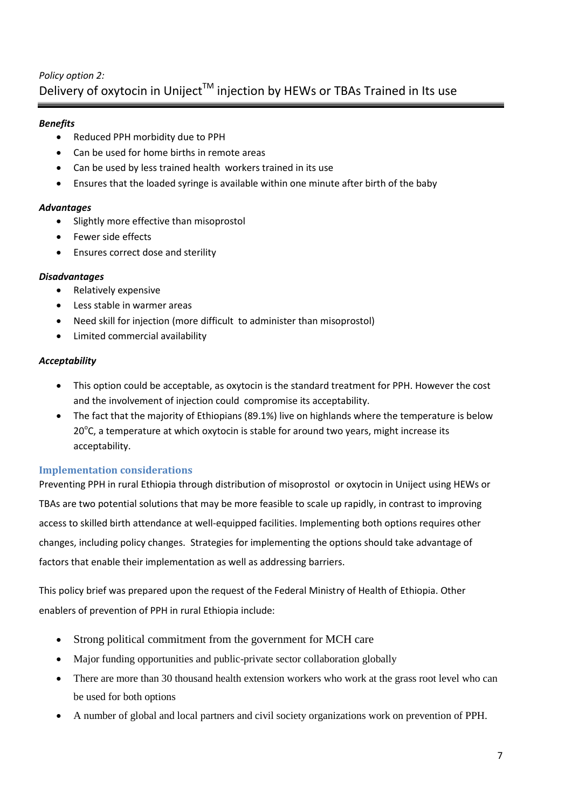# *Policy option 2:* Delivery of oxytocin in Uniject<sup>™</sup> injection by HEWs or TBAs Trained in Its use

### *Benefits*

- Reduced PPH morbidity due to PPH
- Can be used for home births in remote areas
- Can be used by less trained health workers trained in its use
- Ensures that the loaded syringe is available within one minute after birth of the baby

### *Advantages*

- Slightly more effective than misoprostol
- Fewer side effects
- **•** Ensures correct dose and sterility

### *Disadvantages*

- Relatively expensive
- Less stable in warmer areas
- Need skill for injection (more difficult to administer than misoprostol)
- Limited commercial availability

### *Acceptability*

- This option could be acceptable, as oxytocin is the standard treatment for PPH. However the cost and the involvement of injection could compromise its acceptability.
- The fact that the majority of Ethiopians (89.1%) live on highlands where the temperature is below  $20^{\circ}$ C, a temperature at which oxytocin is stable for around two years, might increase its acceptability.

### **Implementation considerations**

Preventing PPH in rural Ethiopia through distribution of misoprostol or oxytocin in Uniject using HEWs or TBAs are two potential solutions that may be more feasible to scale up rapidly, in contrast to improving access to skilled birth attendance at well-equipped facilities. Implementing both options requires other changes, including policy changes. Strategies for implementing the options should take advantage of factors that enable their implementation as well as addressing barriers.

This policy brief was prepared upon the request of the Federal Ministry of Health of Ethiopia. Other enablers of prevention of PPH in rural Ethiopia include:

- Strong political commitment from the government for MCH care
- Major funding opportunities and public-private sector collaboration globally
- There are more than 30 thousand health extension workers who work at the grass root level who can be used for both options
- A number of global and local partners and civil society organizations work on prevention of PPH.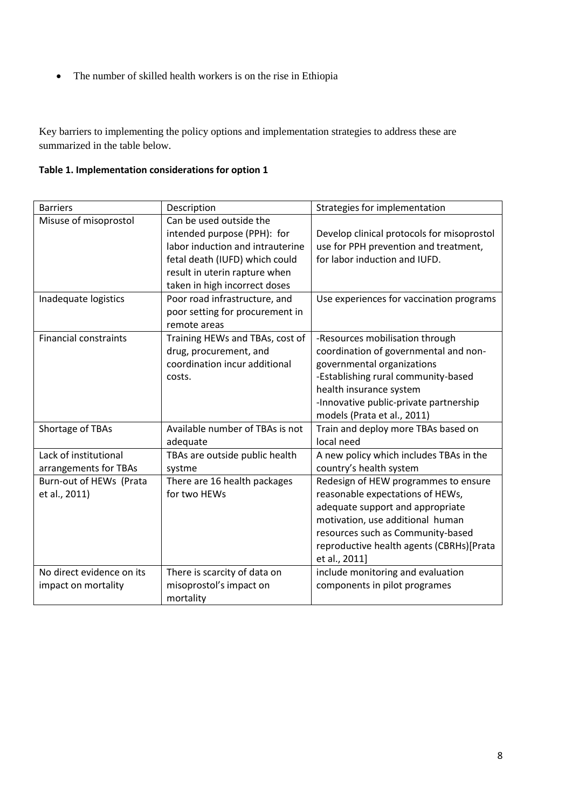• The number of skilled health workers is on the rise in Ethiopia

Key barriers to implementing the policy options and implementation strategies to address these are summarized in the table below.

# **Table 1. Implementation considerations for option 1**

| <b>Barriers</b>              | Description                      | Strategies for implementation              |
|------------------------------|----------------------------------|--------------------------------------------|
| Misuse of misoprostol        | Can be used outside the          |                                            |
|                              | intended purpose (PPH): for      | Develop clinical protocols for misoprostol |
|                              | labor induction and intrauterine | use for PPH prevention and treatment,      |
|                              | fetal death (IUFD) which could   | for labor induction and IUFD.              |
|                              | result in uterin rapture when    |                                            |
|                              | taken in high incorrect doses    |                                            |
| Inadequate logistics         | Poor road infrastructure, and    | Use experiences for vaccination programs   |
|                              | poor setting for procurement in  |                                            |
|                              | remote areas                     |                                            |
| <b>Financial constraints</b> | Training HEWs and TBAs, cost of  | -Resources mobilisation through            |
|                              | drug, procurement, and           | coordination of governmental and non-      |
|                              | coordination incur additional    | governmental organizations                 |
|                              | costs.                           | -Establishing rural community-based        |
|                              |                                  | health insurance system                    |
|                              |                                  | -Innovative public-private partnership     |
|                              |                                  | models (Prata et al., 2011)                |
| Shortage of TBAs             | Available number of TBAs is not  | Train and deploy more TBAs based on        |
|                              | adequate                         | local need                                 |
| Lack of institutional        | TBAs are outside public health   | A new policy which includes TBAs in the    |
| arrangements for TBAs        | systme                           | country's health system                    |
| Burn-out of HEWs (Prata      | There are 16 health packages     | Redesign of HEW programmes to ensure       |
| et al., 2011)                | for two HEWs                     | reasonable expectations of HEWs,           |
|                              |                                  | adequate support and appropriate           |
|                              |                                  | motivation, use additional human           |
|                              |                                  | resources such as Community-based          |
|                              |                                  | reproductive health agents (CBRHs)[Prata   |
|                              |                                  | et al., 2011]                              |
| No direct evidence on its    | There is scarcity of data on     | include monitoring and evaluation          |
| impact on mortality          | misoprostol's impact on          | components in pilot programes              |
|                              | mortality                        |                                            |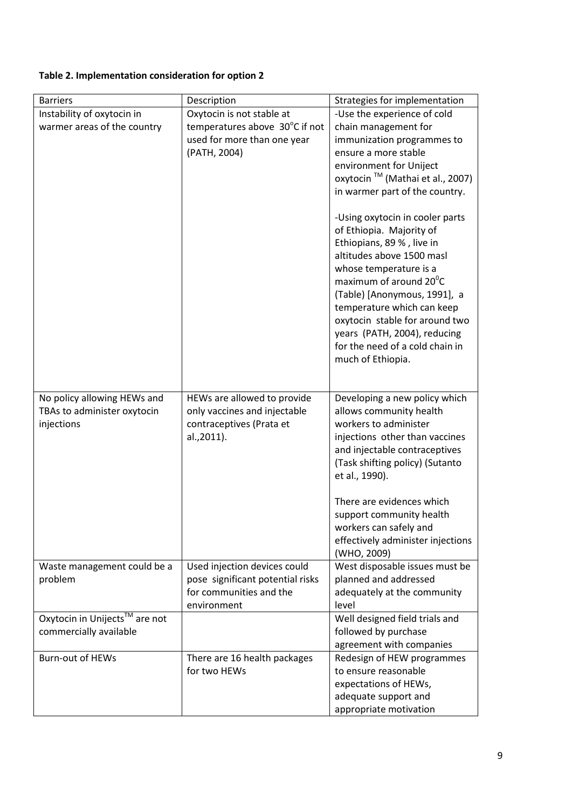### **Table 2. Implementation consideration for option 2**

| <b>Barriers</b>               | Description                      | Strategies for implementation                          |
|-------------------------------|----------------------------------|--------------------------------------------------------|
| Instability of oxytocin in    | Oxytocin is not stable at        | -Use the experience of cold                            |
| warmer areas of the country   | temperatures above 30°C if not   | chain management for                                   |
|                               | used for more than one year      | immunization programmes to                             |
|                               | (PATH, 2004)                     | ensure a more stable                                   |
|                               |                                  | environment for Uniject                                |
|                               |                                  | oxytocin ™ (Mathai et al., 2007)                       |
|                               |                                  | in warmer part of the country.                         |
|                               |                                  | -Using oxytocin in cooler parts                        |
|                               |                                  | of Ethiopia. Majority of                               |
|                               |                                  | Ethiopians, 89 %, live in                              |
|                               |                                  | altitudes above 1500 masl                              |
|                               |                                  | whose temperature is a                                 |
|                               |                                  | maximum of around 20 <sup>°</sup> C                    |
|                               |                                  | (Table) [Anonymous, 1991], a                           |
|                               |                                  | temperature which can keep                             |
|                               |                                  | oxytocin stable for around two                         |
|                               |                                  | years (PATH, 2004), reducing                           |
|                               |                                  | for the need of a cold chain in<br>much of Ethiopia.   |
|                               |                                  |                                                        |
|                               |                                  |                                                        |
| No policy allowing HEWs and   | HEWs are allowed to provide      | Developing a new policy which                          |
| TBAs to administer oxytocin   | only vaccines and injectable     | allows community health                                |
| injections                    | contraceptives (Prata et         | workers to administer                                  |
|                               | al.,2011).                       | injections other than vaccines                         |
|                               |                                  | and injectable contraceptives                          |
|                               |                                  | (Task shifting policy) (Sutanto                        |
|                               |                                  | et al., 1990).                                         |
|                               |                                  | There are evidences which                              |
|                               |                                  | support community health                               |
|                               |                                  | workers can safely and                                 |
|                               |                                  | effectively administer injections                      |
|                               |                                  | (WHO, 2009)                                            |
| Waste management could be a   | Used injection devices could     | West disposable issues must be                         |
| problem                       | pose significant potential risks | planned and addressed                                  |
|                               | for communities and the          | adequately at the community                            |
|                               | environment                      | level                                                  |
| Oxytocin in Unijects™ are not |                                  | Well designed field trials and                         |
| commercially available        |                                  | followed by purchase                                   |
| <b>Burn-out of HEWs</b>       | There are 16 health packages     | agreement with companies<br>Redesign of HEW programmes |
|                               | for two HEWs                     | to ensure reasonable                                   |
|                               |                                  | expectations of HEWs,                                  |
|                               |                                  | adequate support and                                   |
|                               |                                  | appropriate motivation                                 |
|                               |                                  |                                                        |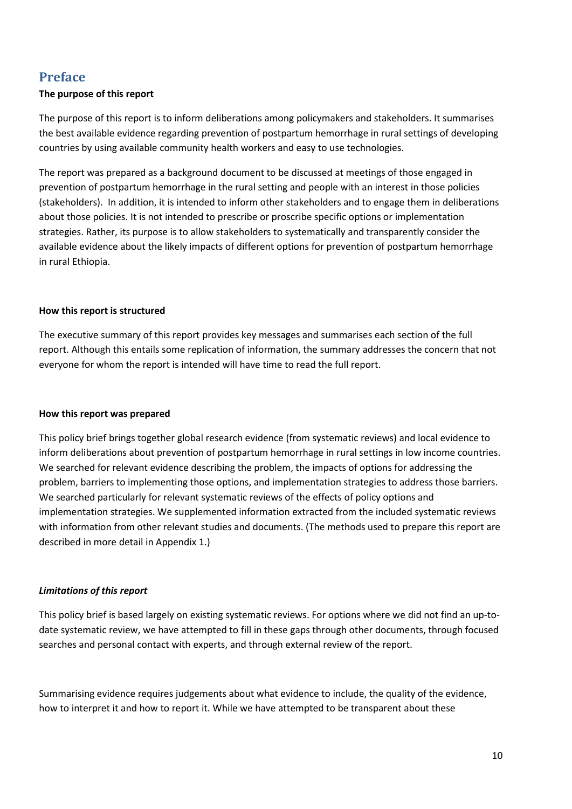# <span id="page-9-0"></span>**Preface**

### **The purpose of this report**

The purpose of this report is to inform deliberations among policymakers and stakeholders. It summarises the best available evidence regarding prevention of postpartum hemorrhage in rural settings of developing countries by using available community health workers and easy to use technologies.

The report was prepared as a background document to be discussed at meetings of those engaged in prevention of postpartum hemorrhage in the rural setting and people with an interest in those policies (stakeholders). In addition, it is intended to inform other stakeholders and to engage them in deliberations about those policies. It is not intended to prescribe or proscribe specific options or implementation strategies. Rather, its purpose is to allow stakeholders to systematically and transparently consider the available evidence about the likely impacts of different options for prevention of postpartum hemorrhage in rural Ethiopia.

### **How this report is structured**

The executive summary of this report provides key messages and summarises each section of the full report. Although this entails some replication of information, the summary addresses the concern that not everyone for whom the report is intended will have time to read the full report.

### **How this report was prepared**

This policy brief brings together global research evidence (from systematic reviews) and local evidence to inform deliberations about prevention of postpartum hemorrhage in rural settings in low income countries. We searched for relevant evidence describing the problem, the impacts of options for addressing the problem, barriers to implementing those options, and implementation strategies to address those barriers. We searched particularly for relevant systematic reviews of the effects of policy options and implementation strategies. We supplemented information extracted from the included systematic reviews with information from other relevant studies and documents. (The methods used to prepare this report are described in more detail in Appendix 1.)

### *Limitations of this report*

This policy brief is based largely on existing systematic reviews. For options where we did not find an up-todate systematic review, we have attempted to fill in these gaps through other documents, through focused searches and personal contact with experts, and through external review of the report.

Summarising evidence requires judgements about what evidence to include, the quality of the evidence, how to interpret it and how to report it. While we have attempted to be transparent about these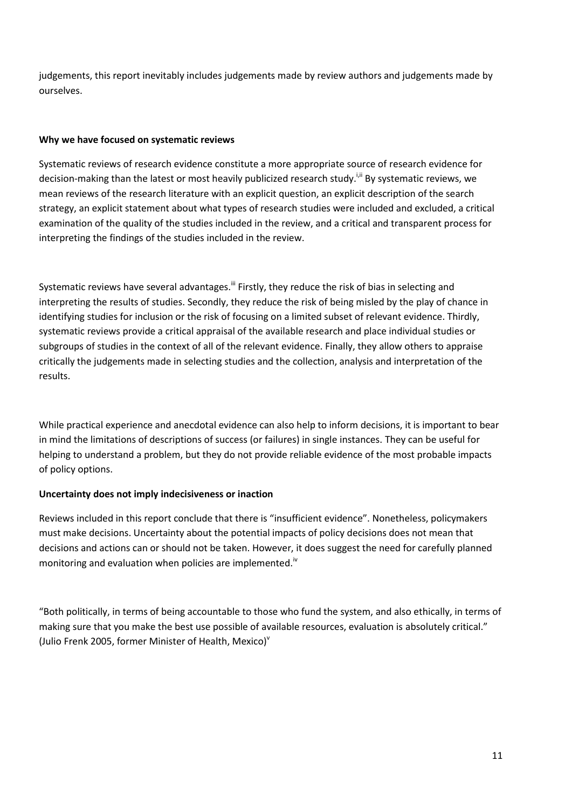judgements, this report inevitably includes judgements made by review authors and judgements made by ourselves.

### **Why we have focused on systematic reviews**

Systematic reviews of research evidence constitute a more appropriate source of research evidence for decision-making than the latest or most heavily publicized research study.<sup>i,ii</sup> By systematic reviews, we mean reviews of the research literature with an explicit question, an explicit description of the search strategy, an explicit statement about what types of research studies were included and excluded, a critical examination of the quality of the studies included in the review, and a critical and transparent process for interpreting the findings of the studies included in the review.

Systematic reviews have several advantages.<sup>iii</sup> Firstly, they reduce the risk of bias in selecting and interpreting the results of studies. Secondly, they reduce the risk of being misled by the play of chance in identifying studies for inclusion or the risk of focusing on a limited subset of relevant evidence. Thirdly, systematic reviews provide a critical appraisal of the available research and place individual studies or subgroups of studies in the context of all of the relevant evidence. Finally, they allow others to appraise critically the judgements made in selecting studies and the collection, analysis and interpretation of the results.

While practical experience and anecdotal evidence can also help to inform decisions, it is important to bear in mind the limitations of descriptions of success (or failures) in single instances. They can be useful for helping to understand a problem, but they do not provide reliable evidence of the most probable impacts of policy options.

### **Uncertainty does not imply indecisiveness or inaction**

Reviews included in this report conclude that there is "insufficient evidence". Nonetheless, policymakers must make decisions. Uncertainty about the potential impacts of policy decisions does not mean that decisions and actions can or should not be taken. However, it does suggest the need for carefully planned monitoring and evaluation when policies are implemented.<sup>iv</sup>

"Both politically, in terms of being accountable to those who fund the system, and also ethically, in terms of making sure that you make the best use possible of available resources, evaluation is absolutely critical." (Julio Frenk 2005, former Minister of Health, Mexico) $<sup>v</sup>$ </sup>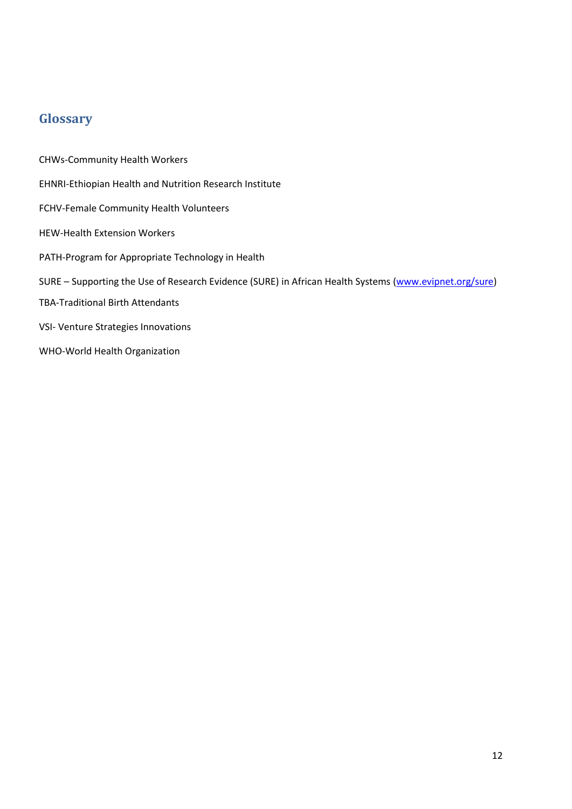# <span id="page-11-0"></span>**Glossary**

CHWs-Community Health Workers EHNRI-Ethiopian Health and Nutrition Research Institute FCHV-Female Community Health Volunteers HEW-Health Extension Workers PATH-Program for Appropriate Technology in Health SURE – Supporting the Use of Research Evidence (SURE) in African Health Systems [\(www.evipnet.org/sure\)](http://www.evipnet.org/sure) TBA-Traditional Birth Attendants VSI- Venture Strategies Innovations WHO-World Health Organization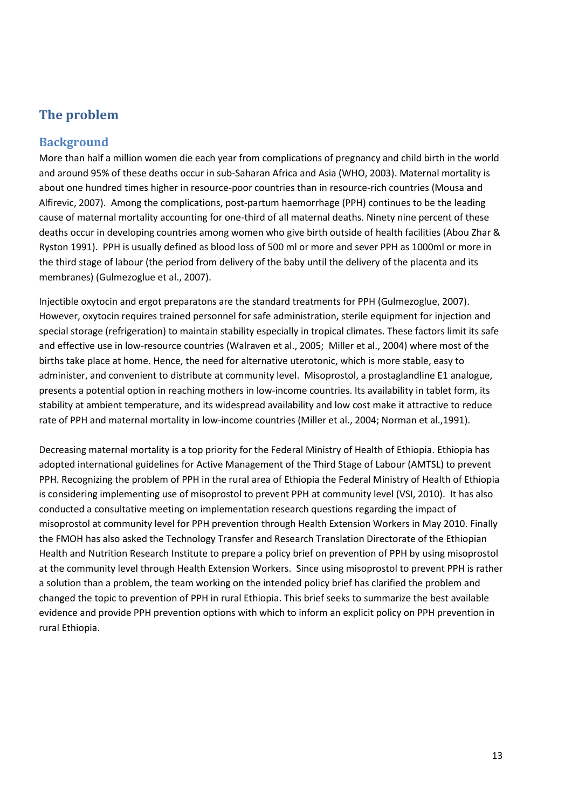# <span id="page-12-0"></span>**The problem**

### <span id="page-12-1"></span>**Background**

More than half a million women die each year from complications of pregnancy and child birth in the world and around 95% of these deaths occur in sub-Saharan Africa and Asia (WHO, 2003). Maternal mortality is about one hundred times higher in resource-poor countries than in resource-rich countries (Mousa and Alfirevic, 2007). Among the complications, post-partum haemorrhage (PPH) continues to be the leading cause of maternal mortality accounting for one-third of all maternal deaths. Ninety nine percent of these deaths occur in developing countries among women who give birth outside of health facilities (Abou Zhar & Ryston 1991). PPH is usually defined as blood loss of 500 ml or more and sever PPH as 1000ml or more in the third stage of labour (the period from delivery of the baby until the delivery of the placenta and its membranes) (Gulmezoglue et al., 2007).

Injectible oxytocin and ergot preparatons are the standard treatments for PPH (Gulmezoglue, 2007). However, oxytocin requires trained personnel for safe administration, sterile equipment for injection and special storage (refrigeration) to maintain stability especially in tropical climates. These factors limit its safe and effective use in low-resource countries (Walraven et al., 2005; Miller et al., 2004) where most of the births take place at home. Hence, the need for alternative uterotonic, which is more stable, easy to administer, and convenient to distribute at community level. Misoprostol, a prostaglandline E1 analogue, presents a potential option in reaching mothers in low-income countries. Its availability in tablet form, its stability at ambient temperature, and its widespread availability and low cost make it attractive to reduce rate of PPH and maternal mortality in low-income countries (Miller et al., 2004; Norman et al.,1991).

Decreasing maternal mortality is a top priority for the Federal Ministry of Health of Ethiopia. Ethiopia has adopted international guidelines for Active Management of the Third Stage of Labour (AMTSL) to prevent PPH. Recognizing the problem of PPH in the rural area of Ethiopia the Federal Ministry of Health of Ethiopia is considering implementing use of misoprostol to prevent PPH at community level (VSI, 2010). It has also conducted a consultative meeting on implementation research questions regarding the impact of misoprostol at community level for PPH prevention through Health Extension Workers in May 2010. Finally the FMOH has also asked the Technology Transfer and Research Translation Directorate of the Ethiopian Health and Nutrition Research Institute to prepare a policy brief on prevention of PPH by using misoprostol at the community level through Health Extension Workers. Since using misoprostol to prevent PPH is rather a solution than a problem, the team working on the intended policy brief has clarified the problem and changed the topic to prevention of PPH in rural Ethiopia. This brief seeks to summarize the best available evidence and provide PPH prevention options with which to inform an explicit policy on PPH prevention in rural Ethiopia.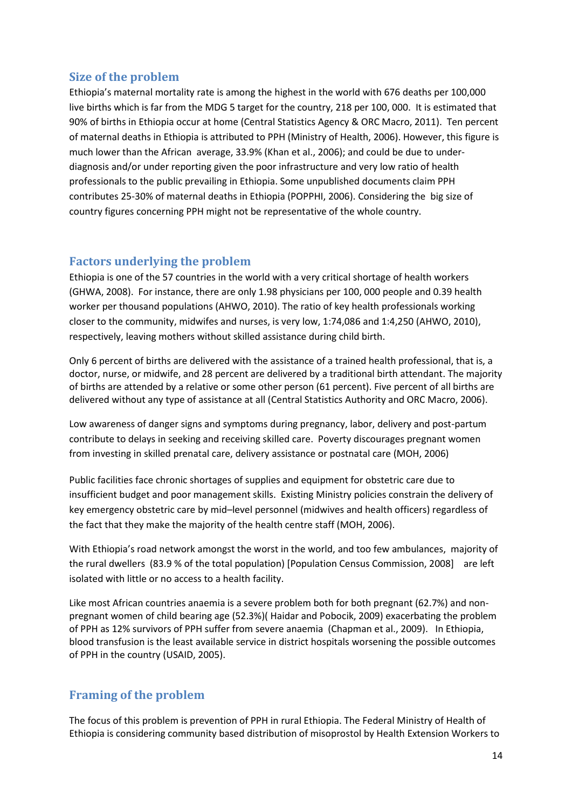### <span id="page-13-0"></span>**Size of the problem**

Ethiopia's maternal mortality rate is among the highest in the world with 676 deaths per 100,000 live births which is far from the MDG 5 target for the country, 218 per 100, 000. It is estimated that 90% of births in Ethiopia occur at home (Central Statistics Agency & ORC Macro, 2011). Ten percent of maternal deaths in Ethiopia is attributed to PPH (Ministry of Health, 2006). However, this figure is much lower than the African average, 33.9% (Khan et al., 2006); and could be due to underdiagnosis and/or under reporting given the poor infrastructure and very low ratio of health professionals to the public prevailing in Ethiopia. Some unpublished documents claim PPH contributes 25-30% of maternal deaths in Ethiopia (POPPHI, 2006). Considering the big size of country figures concerning PPH might not be representative of the whole country.

### <span id="page-13-1"></span>**Factors underlying the problem**

Ethiopia is one of the 57 countries in the world with a very critical shortage of health workers (GHWA, 2008). For instance, there are only 1.98 physicians per 100, 000 people and 0.39 health worker per thousand populations (AHWO, 2010). The ratio of key health professionals working closer to the community, midwifes and nurses, is very low, 1:74,086 and 1:4,250 (AHWO, 2010), respectively, leaving mothers without skilled assistance during child birth.

Only 6 percent of births are delivered with the assistance of a trained health professional, that is, a doctor, nurse, or midwife, and 28 percent are delivered by a traditional birth attendant. The majority of births are attended by a relative or some other person (61 percent). Five percent of all births are delivered without any type of assistance at all (Central Statistics Authority and ORC Macro, 2006).

Low awareness of danger signs and symptoms during pregnancy, labor, delivery and post-partum contribute to delays in seeking and receiving skilled care. Poverty discourages pregnant women from investing in skilled prenatal care, delivery assistance or postnatal care (MOH, 2006)

Public facilities face chronic shortages of supplies and equipment for obstetric care due to insufficient budget and poor management skills. Existing Ministry policies constrain the delivery of key emergency obstetric care by mid–level personnel (midwives and health officers) regardless of the fact that they make the majority of the health centre staff (MOH, 2006).

With Ethiopia's road network amongst the worst in the world, and too few ambulances, majority of the rural dwellers (83.9 % of the total population) [Population Census Commission, 2008] are left isolated with little or no access to a health facility.

Like most African countries anaemia is a severe problem both for both pregnant (62.7%) and nonpregnant women of child bearing age (52.3%)( Haidar and Pobocik, 2009) exacerbating the problem of PPH as 12% survivors of PPH suffer from severe anaemia (Chapman et al., 2009). In Ethiopia, blood transfusion is the least available service in district hospitals worsening the possible outcomes of PPH in the country (USAID, 2005).

### <span id="page-13-2"></span>**Framing of the problem**

The focus of this problem is prevention of PPH in rural Ethiopia. The Federal Ministry of Health of Ethiopia is considering community based distribution of misoprostol by Health Extension Workers to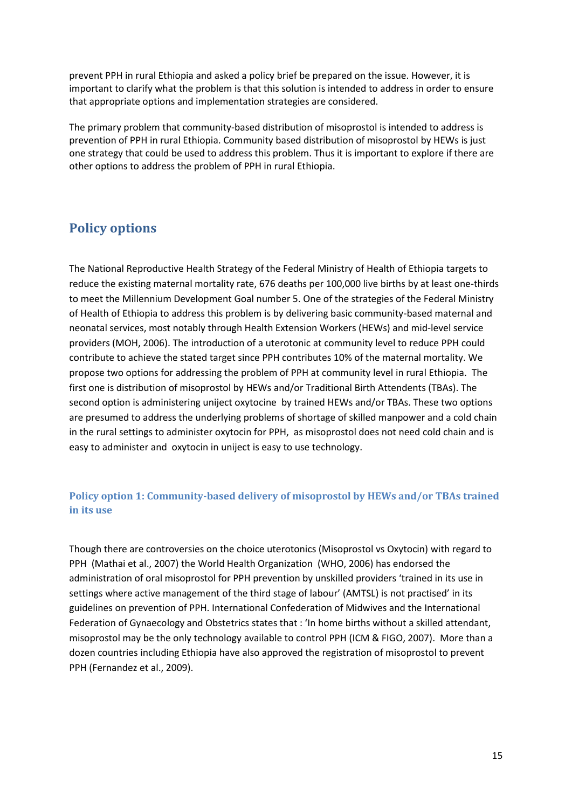prevent PPH in rural Ethiopia and asked a policy brief be prepared on the issue. However, it is important to clarify what the problem is that this solution is intended to address in order to ensure that appropriate options and implementation strategies are considered.

The primary problem that community-based distribution of misoprostol is intended to address is prevention of PPH in rural Ethiopia. Community based distribution of misoprostol by HEWs is just one strategy that could be used to address this problem. Thus it is important to explore if there are other options to address the problem of PPH in rural Ethiopia.

# <span id="page-14-0"></span>**Policy options**

The National Reproductive Health Strategy of the Federal Ministry of Health of Ethiopia targets to reduce the existing maternal mortality rate, 676 deaths per 100,000 live births by at least one-thirds to meet the Millennium Development Goal number 5. One of the strategies of the Federal Ministry of Health of Ethiopia to address this problem is by delivering basic community-based maternal and neonatal services, most notably through Health Extension Workers (HEWs) and mid-level service providers (MOH, 2006). The introduction of a uterotonic at community level to reduce PPH could contribute to achieve the stated target since PPH contributes 10% of the maternal mortality. We propose two options for addressing the problem of PPH at community level in rural Ethiopia. The first one is distribution of misoprostol by HEWs and/or Traditional Birth Attendents (TBAs). The second option is administering uniject oxytocine by trained HEWs and/or TBAs. These two options are presumed to address the underlying problems of shortage of skilled manpower and a cold chain in the rural settings to administer oxytocin for PPH, as misoprostol does not need cold chain and is easy to administer and oxytocin in uniject is easy to use technology.

### **Policy option 1: Community-based delivery of misoprostol by HEWs and/or TBAs trained in its use**

Though there are controversies on the choice uterotonics (Misoprostol vs Oxytocin) with regard to PPH (Mathai et al., 2007) the World Health Organization (WHO, 2006) has endorsed the administration of oral misoprostol for PPH prevention by unskilled providers 'trained in its use in settings where active management of the third stage of labour' (AMTSL) is not practised' in its guidelines on prevention of PPH. International Confederation of Midwives and the International Federation of Gynaecology and Obstetrics states that : 'In home births without a skilled attendant, misoprostol may be the only technology available to control PPH (ICM & FIGO, 2007). More than a dozen countries including Ethiopia have also approved the registration of misoprostol to prevent PPH (Fernandez et al., 2009).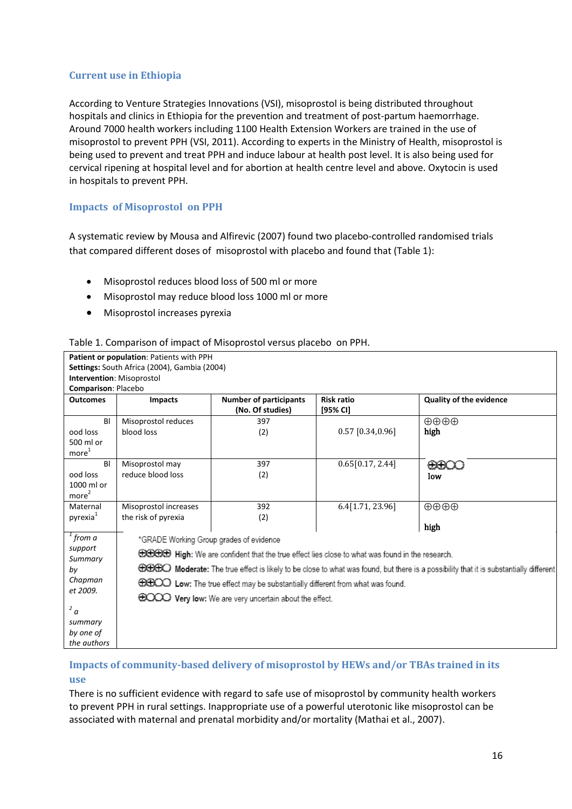### **Current use in Ethiopia**

According to Venture Strategies Innovations (VSI), misoprostol is being distributed throughout hospitals and clinics in Ethiopia for the prevention and treatment of post-partum haemorrhage. Around 7000 health workers including 1100 Health Extension Workers are trained in the use of misoprostol to prevent PPH (VSI, 2011). According to experts in the Ministry of Health, misoprostol is being used to prevent and treat PPH and induce labour at health post level. It is also being used for cervical ripening at hospital level and for abortion at health centre level and above. Oxytocin is used in hospitals to prevent PPH.

### **Impacts of Misoprostol on PPH**

A systematic review by Mousa and Alfirevic (2007) found two placebo-controlled randomised trials that compared different doses of misoprostol with placebo and found that (Table 1):

- Misoprostol reduces blood loss of 500 ml or more
- Misoprostol may reduce blood loss 1000 ml or more
- **•** Misoprostol increases pyrexia

**Patient or population**: Patients with PPH

#### Table 1. Comparison of impact of Misoprostol versus placebo on PPH.

|                                                                                                            | Settings: South Africa (2004), Gambia (2004)                                                                                                                                                                                                                                                                                                                                                                                                        |                                                   |                               |                                |  |  |
|------------------------------------------------------------------------------------------------------------|-----------------------------------------------------------------------------------------------------------------------------------------------------------------------------------------------------------------------------------------------------------------------------------------------------------------------------------------------------------------------------------------------------------------------------------------------------|---------------------------------------------------|-------------------------------|--------------------------------|--|--|
| Intervention: Misoprostol                                                                                  |                                                                                                                                                                                                                                                                                                                                                                                                                                                     |                                                   |                               |                                |  |  |
| Comparison: Placebo                                                                                        |                                                                                                                                                                                                                                                                                                                                                                                                                                                     |                                                   |                               |                                |  |  |
| <b>Outcomes</b>                                                                                            | <b>Impacts</b>                                                                                                                                                                                                                                                                                                                                                                                                                                      | <b>Number of participants</b><br>(No. Of studies) | <b>Risk ratio</b><br>[95% CI] | <b>Quality of the evidence</b> |  |  |
| BI<br>ood loss<br>500 ml or<br>more <sup>1</sup>                                                           | Misoprostol reduces<br>blood loss                                                                                                                                                                                                                                                                                                                                                                                                                   | 397<br>(2)                                        | $0.57$ [0.34,0.96]            | $\oplus \oplus \oplus$<br>high |  |  |
| BI<br>ood loss<br>1000 ml or<br>more <sup>2</sup>                                                          | Misoprostol may<br>reduce blood loss                                                                                                                                                                                                                                                                                                                                                                                                                | 397<br>(2)                                        | 0.65[0.17, 2.44]              | ⊕⊕O<br>low                     |  |  |
| Maternal<br>pyrexia <sup>1</sup>                                                                           | Misoprostol increases<br>the risk of pyrexia                                                                                                                                                                                                                                                                                                                                                                                                        | 392<br>(2)                                        | 6.4[1.71, 23.96]              | $\oplus\oplus\oplus$<br>high   |  |  |
| $1$ from a<br>support<br>Summary<br>by<br>Chapman<br>et 2009.<br>2a<br>summary<br>by one of<br>the authors | *GRADE Working Group grades of evidence<br><b>COCCO</b> High: We are confident that the true effect lies close to what was found in the research.<br>⊕⊕⊕⊙ Moderate: The true effect is likely to be close to what was found, but there is a possibility that it is substantially different<br><b>GGCO</b> Low: The true effect may be substantially different from what was found.<br><b>COOO</b> Very low: We are very uncertain about the effect. |                                                   |                               |                                |  |  |

### **Impacts of community-based delivery of misoprostol by HEWs and/or TBAs trained in its use**

There is no sufficient evidence with regard to safe use of misoprostol by community health workers to prevent PPH in rural settings. Inappropriate use of a powerful uterotonic like misoprostol can be associated with maternal and prenatal morbidity and/or mortality (Mathai et al., 2007).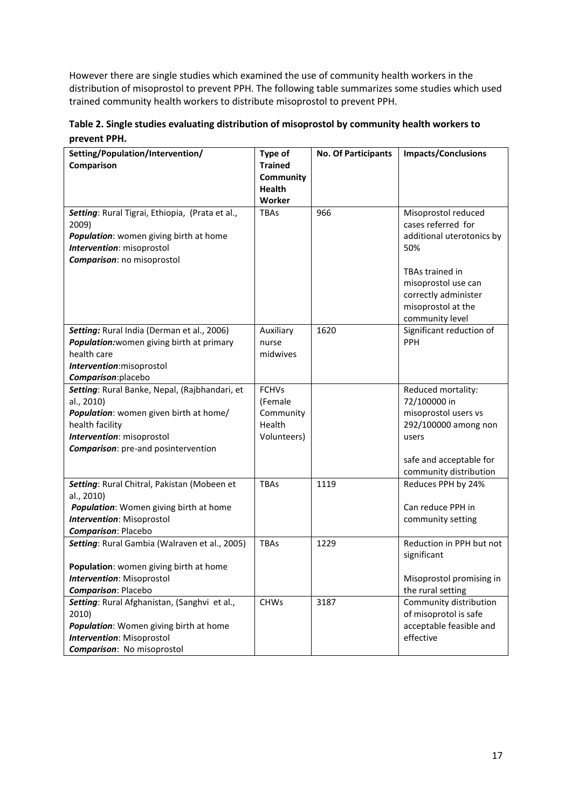However there are single studies which examined the use of community health workers in the distribution of misoprostol to prevent PPH. The following table summarizes some studies which used trained community health workers to distribute misoprostol to prevent PPH.

**Table 2. Single studies evaluating distribution of misoprostol by community health workers to prevent PPH.**

| Setting/Population/Intervention/<br>Comparison                                                                                                                                                      | Type of<br><b>Trained</b><br>Community                        | <b>No. Of Participants</b> | <b>Impacts/Conclusions</b>                                                                                                                                                               |
|-----------------------------------------------------------------------------------------------------------------------------------------------------------------------------------------------------|---------------------------------------------------------------|----------------------------|------------------------------------------------------------------------------------------------------------------------------------------------------------------------------------------|
|                                                                                                                                                                                                     | <b>Health</b><br>Worker                                       |                            |                                                                                                                                                                                          |
| Setting: Rural Tigrai, Ethiopia, (Prata et al.,<br>2009)<br>Population: women giving birth at home<br>Intervention: misoprostol<br><b>Comparison:</b> no misoprostol                                | <b>TBAs</b>                                                   | 966                        | Misoprostol reduced<br>cases referred for<br>additional uterotonics by<br>50%<br>TBAs trained in<br>misoprostol use can<br>correctly administer<br>misoprostol at the<br>community level |
| Setting: Rural India (Derman et al., 2006)<br>Population: women giving birth at primary<br>health care<br>Intervention: misoprostol<br>Comparison: placebo                                          | Auxiliary<br>nurse<br>midwives                                | 1620                       | Significant reduction of<br>PPH                                                                                                                                                          |
| Setting: Rural Banke, Nepal, (Rajbhandari, et<br>al., 2010)<br>Population: women given birth at home/<br>health facility<br>Intervention: misoprostol<br><b>Comparison:</b> pre-and posintervention | <b>FCHVs</b><br>(Female<br>Community<br>Health<br>Volunteers) |                            | Reduced mortality:<br>72/100000 in<br>misoprostol users vs<br>292/100000 among non<br>users<br>safe and acceptable for<br>community distribution                                         |
| Setting: Rural Chitral, Pakistan (Mobeen et<br>al., 2010)<br>Population: Women giving birth at home<br>Intervention: Misoprostol<br><b>Comparison: Placebo</b>                                      | <b>TBAs</b>                                                   | 1119                       | Reduces PPH by 24%<br>Can reduce PPH in<br>community setting                                                                                                                             |
| Setting: Rural Gambia (Walraven et al., 2005)<br>Population: women giving birth at home<br><b>Intervention</b> : Misoprostol<br><b>Comparison: Placebo</b>                                          | <b>TBAs</b>                                                   | 1229                       | Reduction in PPH but not<br>significant<br>Misoprostol promising in<br>the rural setting                                                                                                 |
| Setting: Rural Afghanistan, (Sanghvi et al.,<br>2010)<br>Population: Women giving birth at home<br>Intervention: Misoprostol<br><b>Comparison:</b> No misoprostol                                   | <b>CHWs</b>                                                   | 3187                       | Community distribution<br>of misoprotol is safe<br>acceptable feasible and<br>effective                                                                                                  |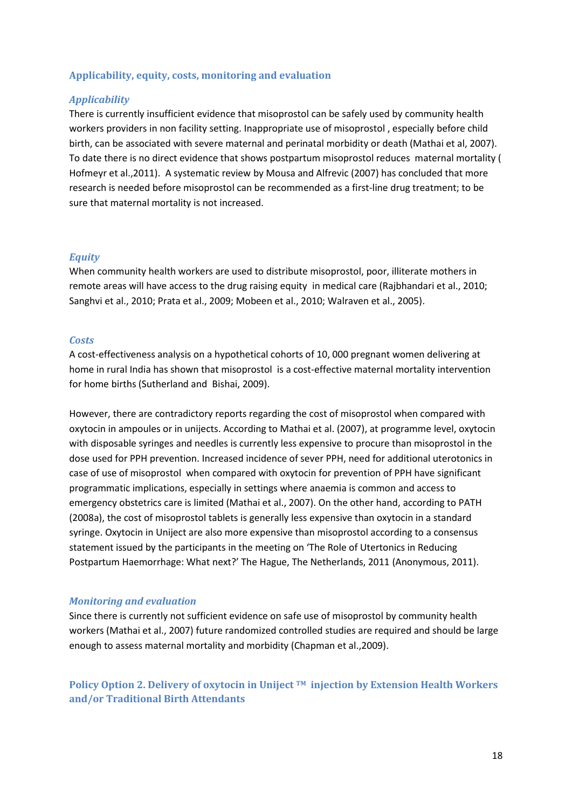#### **Applicability, equity, costs, monitoring and evaluation**

#### *Applicability*

There is currently insufficient evidence that misoprostol can be safely used by community health workers providers in non facility setting. Inappropriate use of misoprostol , especially before child birth, can be associated with severe maternal and perinatal morbidity or death (Mathai et al, 2007). To date there is no direct evidence that shows postpartum misoprostol reduces maternal mortality ( Hofmeyr et al.,2011). A systematic review by Mousa and Alfrevic (2007) has concluded that more research is needed before misoprostol can be recommended as a first-line drug treatment; to be sure that maternal mortality is not increased.

#### *Equity*

When community health workers are used to distribute misoprostol, poor, illiterate mothers in remote areas will have access to the drug raising equity in medical care (Rajbhandari et al., 2010; Sanghvi et al., 2010; Prata et al., 2009; Mobeen et al., 2010; Walraven et al., 2005).

#### *Costs*

A cost-effectiveness analysis on a hypothetical cohorts of 10, 000 pregnant women delivering at home in rural India has shown that misoprostol is a cost-effective maternal mortality intervention for home births (Sutherland and Bishai, 2009).

However, there are contradictory reports regarding the cost of misoprostol when compared with oxytocin in ampoules or in unijects. According to Mathai et al. (2007), at programme level, oxytocin with disposable syringes and needles is currently less expensive to procure than misoprostol in the dose used for PPH prevention. Increased incidence of sever PPH, need for additional uterotonics in case of use of misoprostol when compared with oxytocin for prevention of PPH have significant programmatic implications, especially in settings where anaemia is common and access to emergency obstetrics care is limited (Mathai et al., 2007). On the other hand, according to PATH (2008a), the cost of misoprostol tablets is generally less expensive than oxytocin in a standard syringe. Oxytocin in Uniject are also more expensive than misoprostol according to a consensus statement issued by the participants in the meeting on 'The Role of Utertonics in Reducing Postpartum Haemorrhage: What next?' The Hague, The Netherlands, 2011 (Anonymous, 2011).

#### *Monitoring and evaluation*

Since there is currently not sufficient evidence on safe use of misoprostol by community health workers (Mathai et al., 2007) future randomized controlled studies are required and should be large enough to assess maternal mortality and morbidity (Chapman et al.,2009).

**Policy Option 2. Delivery of oxytocin in Uniject TM injection by Extension Health Workers and/or Traditional Birth Attendants**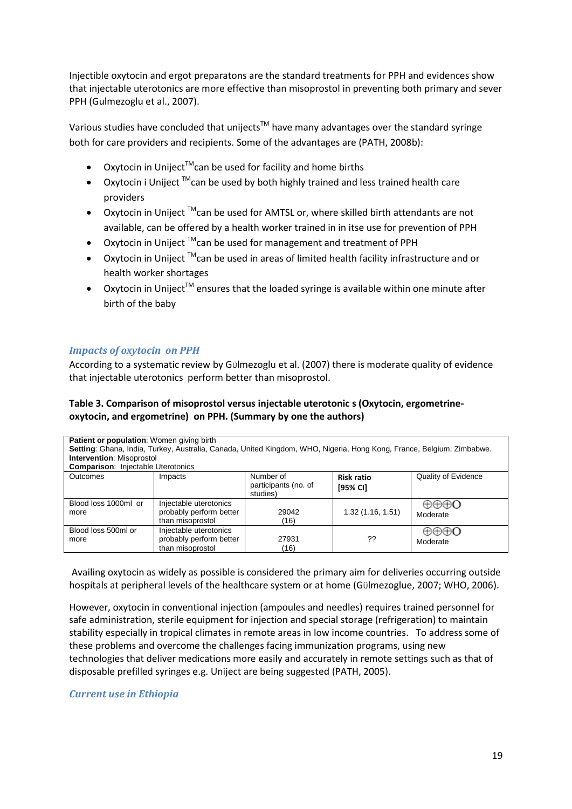Injectible oxytocin and ergot preparatons are the standard treatments for PPH and evidences show that injectable uterotonics are more effective than misoprostol in preventing both primary and sever PPH (Gulmezoglu et al., 2007).

Various studies have concluded that unijects<sup>TM</sup> have many advantages over the standard syringe both for care providers and recipients. Some of the advantages are (PATH, 2008b):

- Oxytocin in Uniject<sup>™</sup>can be used for facility and home births
- Oxytocin i Uniject  $TM$ can be used by both highly trained and less trained health care providers
- Oxytocin in Uniject  $TM$ can be used for AMTSL or, where skilled birth attendants are not available, can be offered by a health worker trained in in itse use for prevention of PPH
- Oxytocin in Uniject ™can be used for management and treatment of PPH
- Oxytocin in Uniject ™can be used in areas of limited health facility infrastructure and or health worker shortages
- Oxytocin in Uniject<sup>™</sup> ensures that the loaded syringe is available within one minute after birth of the baby

### *Impacts of oxytocin on PPH*

According to a systematic review by Gülmezoglu et al. (2007) there is moderate quality of evidence that injectable uterotonics perform better than misoprostol.

### **Table 3. Comparison of misoprostol versus injectable uterotonic s (Oxytocin, ergometrineoxytocin, and ergometrine) on PPH. (Summary by one the authors)**

| Patient or population: Women giving birth<br>Setting: Ghana, India, Turkey, Australia, Canada, United Kingdom, WHO, Nigeria, Hong Kong, France, Belgium, Zimbabwe.<br><b>Intervention: Misoprostol</b><br><b>Comparison: Injectable Uterotonics</b> |                                                                       |                                               |                               |                     |  |
|-----------------------------------------------------------------------------------------------------------------------------------------------------------------------------------------------------------------------------------------------------|-----------------------------------------------------------------------|-----------------------------------------------|-------------------------------|---------------------|--|
| <b>Outcomes</b>                                                                                                                                                                                                                                     | Impacts                                                               | Number of<br>participants (no. of<br>studies) | <b>Risk ratio</b><br>[95% CI] | Quality of Evidence |  |
| Blood loss 1000ml or<br>more                                                                                                                                                                                                                        | Injectable uterotonics<br>probably perform better<br>than misoprostol | 29042<br>(16)                                 | 1.32(1.16, 1.51)              | ⊕⊕⊕O<br>Moderate    |  |
| Blood loss 500ml or<br>more                                                                                                                                                                                                                         | Injectable uterotonics<br>probably perform better<br>than misoprostol | 27931<br>(16)                                 | ??                            | ⊕⊕⊕O<br>Moderate    |  |

Availing oxytocin as widely as possible is considered the primary aim for deliveries occurring outside hospitals at peripheral levels of the healthcare system or at home (GÜlmezoglue, 2007; WHO, 2006).

However, oxytocin in conventional injection (ampoules and needles) requires trained personnel for safe administration, sterile equipment for injection and special storage (refrigeration) to maintain stability especially in tropical climates in remote areas in low income countries. To address some of these problems and overcome the challenges facing immunization programs, using new technologies that deliver medications more easily and accurately in remote settings such as that of disposable prefilled syringes e.g. Uniject are being suggested (PATH, 2005).

### *Current use in Ethiopia*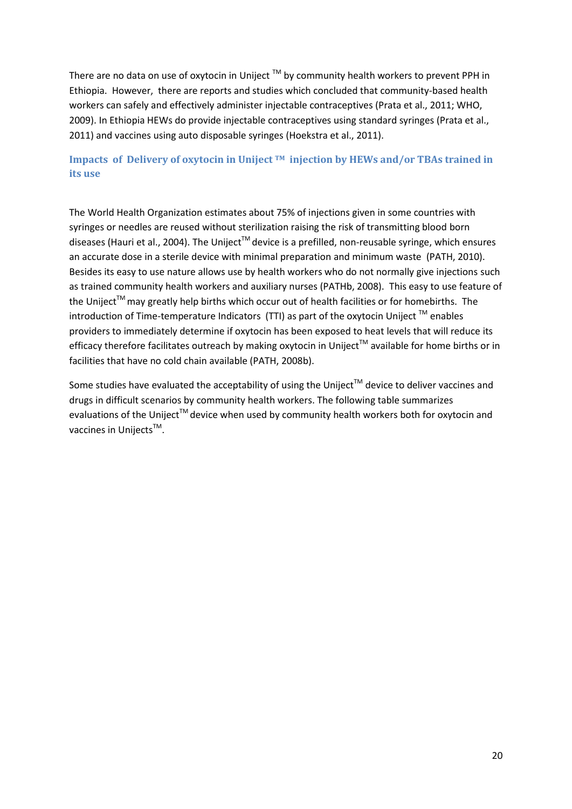There are no data on use of oxytocin in Uniject ™ by community health workers to prevent PPH in Ethiopia. However, there are reports and studies which concluded that community-based health workers can safely and effectively administer injectable contraceptives (Prata et al., 2011; WHO, 2009). In Ethiopia HEWs do provide injectable contraceptives using standard syringes (Prata et al., 2011) and vaccines using auto disposable syringes (Hoekstra et al., 2011).

### **Impacts of Delivery of oxytocin in Uniject TM injection by HEWs and/or TBAs trained in its use**

The World Health Organization estimates about 75% of injections given in some countries with syringes or needles are reused without sterilization raising the risk of transmitting blood born diseases (Hauri et al., 2004). The Uniject<sup>™</sup> device is a prefilled, non-reusable syringe, which ensures an accurate dose in a sterile device with minimal preparation and minimum waste (PATH, 2010). Besides its easy to use nature allows use by health workers who do not normally give injections such as trained community health workers and auxiliary nurses (PATHb, 2008). This easy to use feature of the Uniject<sup>™</sup> may greatly help births which occur out of health facilities or for homebirths. The introduction of Time-temperature Indicators (TTI) as part of the oxytocin Uniject  $^{TM}$  enables providers to immediately determine if oxytocin has been exposed to heat levels that will reduce its efficacy therefore facilitates outreach by making oxytocin in Uniject™ available for home births or in facilities that have no cold chain available (PATH, 2008b).

Some studies have evaluated the acceptability of using the Uniject™ device to deliver vaccines and drugs in difficult scenarios by community health workers. The following table summarizes evaluations of the Uniject<sup>TM</sup> device when used by community health workers both for oxytocin and vaccines in Unijects<sup>™</sup>.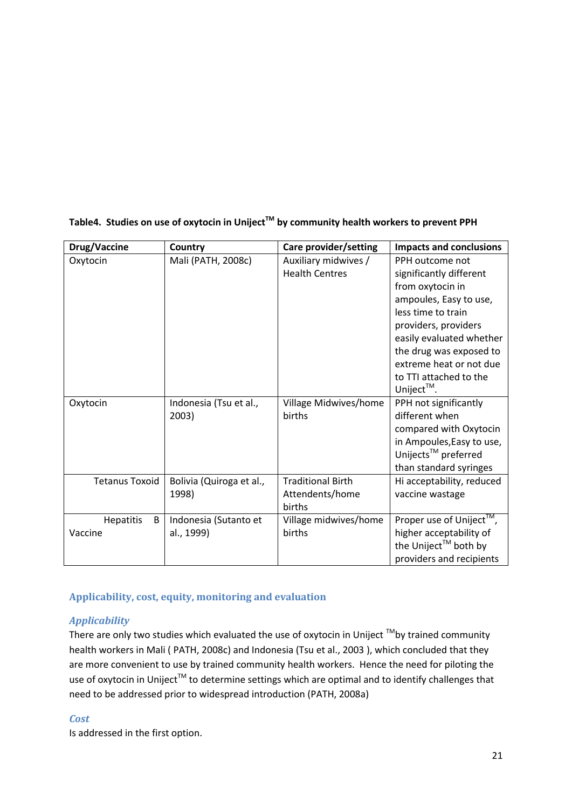| Drug/Vaccine          | Country                  | Care provider/setting    | <b>Impacts and conclusions</b> |
|-----------------------|--------------------------|--------------------------|--------------------------------|
| Oxytocin              | Mali (PATH, 2008c)       | Auxiliary midwives /     | PPH outcome not                |
|                       |                          | <b>Health Centres</b>    | significantly different        |
|                       |                          |                          | from oxytocin in               |
|                       |                          |                          | ampoules, Easy to use,         |
|                       |                          |                          | less time to train             |
|                       |                          |                          | providers, providers           |
|                       |                          |                          | easily evaluated whether       |
|                       |                          |                          | the drug was exposed to        |
|                       |                          |                          | extreme heat or not due        |
|                       |                          |                          | to TTI attached to the         |
|                       |                          |                          | Uniject™.                      |
| Oxytocin              | Indonesia (Tsu et al.,   | Village Midwives/home    | PPH not significantly          |
|                       | 2003)                    | births                   | different when                 |
|                       |                          |                          | compared with Oxytocin         |
|                       |                          |                          | in Ampoules, Easy to use,      |
|                       |                          |                          | Unijects™ preferred            |
|                       |                          |                          | than standard syringes         |
| <b>Tetanus Toxoid</b> | Bolivia (Quiroga et al., | <b>Traditional Birth</b> | Hi acceptability, reduced      |
|                       | 1998)                    | Attendents/home          | vaccine wastage                |
|                       |                          | births                   |                                |
| Hepatitis<br>B        | Indonesia (Sutanto et    | Village midwives/home    | Proper use of Uniject™,        |
| Vaccine               | al., 1999)               | births                   | higher acceptability of        |
|                       |                          |                          | the Uniject™ both by           |
|                       |                          |                          | providers and recipients       |

### **Table4. Studies on use of oxytocin in UnijectTM by community health workers to prevent PPH**

### **Applicability, cost, equity, monitoring and evaluation**

### *Applicability*

There are only two studies which evaluated the use of oxytocin in Uniject ™by trained community health workers in Mali ( PATH, 2008c) and Indonesia (Tsu et al., 2003 ), which concluded that they are more convenient to use by trained community health workers. Hence the need for piloting the use of oxytocin in Uniject<sup>™</sup> to determine settings which are optimal and to identify challenges that need to be addressed prior to widespread introduction (PATH, 2008a)

### *Cost*

Is addressed in the first option.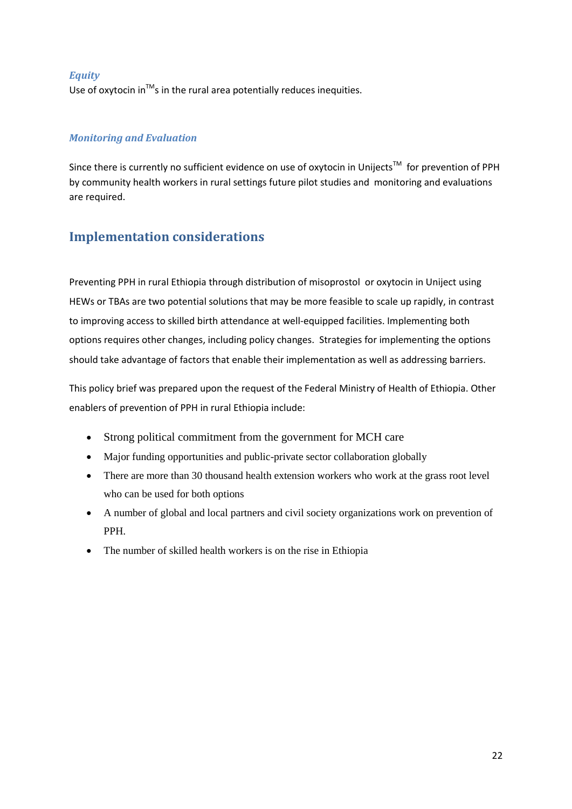### *Equity*

Use of oxytocin in<sup>TM</sup>s in the rural area potentially reduces inequities.

### *Monitoring and Evaluation*

Since there is currently no sufficient evidence on use of oxytocin in Unijects™ for prevention of PPH by community health workers in rural settings future pilot studies and monitoring and evaluations are required.

# <span id="page-21-0"></span>**Implementation considerations**

Preventing PPH in rural Ethiopia through distribution of misoprostol or oxytocin in Uniject using HEWs or TBAs are two potential solutions that may be more feasible to scale up rapidly, in contrast to improving access to skilled birth attendance at well-equipped facilities. Implementing both options requires other changes, including policy changes. Strategies for implementing the options should take advantage of factors that enable their implementation as well as addressing barriers.

This policy brief was prepared upon the request of the Federal Ministry of Health of Ethiopia. Other enablers of prevention of PPH in rural Ethiopia include:

- Strong political commitment from the government for MCH care
- Major funding opportunities and public-private sector collaboration globally
- There are more than 30 thousand health extension workers who work at the grass root level who can be used for both options
- A number of global and local partners and civil society organizations work on prevention of PPH.
- The number of skilled health workers is on the rise in Ethiopia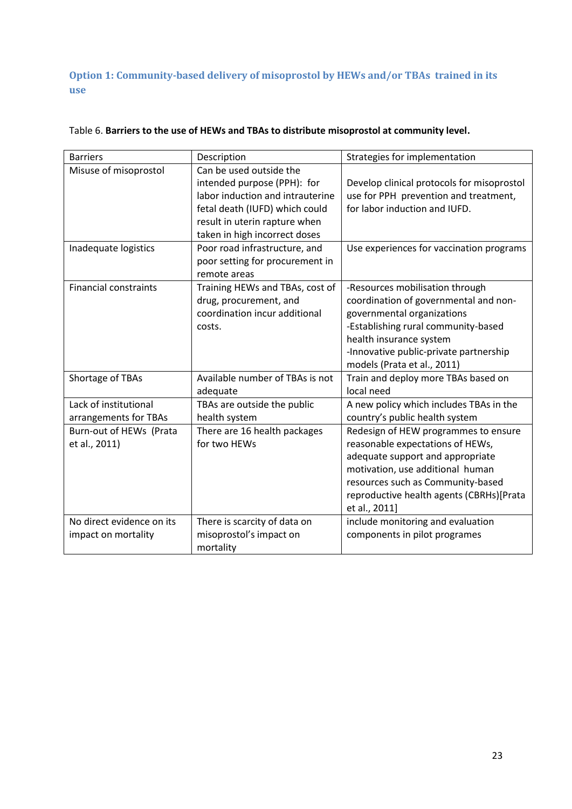**Option 1: Community-based delivery of misoprostol by HEWs and/or TBAs trained in its use**

| <b>Barriers</b>                                  | Description                                                                                                                                                                                                                     | Strategies for implementation                                                                                                                                                                                                                      |
|--------------------------------------------------|---------------------------------------------------------------------------------------------------------------------------------------------------------------------------------------------------------------------------------|----------------------------------------------------------------------------------------------------------------------------------------------------------------------------------------------------------------------------------------------------|
| Misuse of misoprostol<br>Inadequate logistics    | Can be used outside the<br>intended purpose (PPH): for<br>labor induction and intrauterine<br>fetal death (IUFD) which could<br>result in uterin rapture when<br>taken in high incorrect doses<br>Poor road infrastructure, and | Develop clinical protocols for misoprostol<br>use for PPH prevention and treatment,<br>for labor induction and IUFD.<br>Use experiences for vaccination programs                                                                                   |
|                                                  | poor setting for procurement in<br>remote areas                                                                                                                                                                                 |                                                                                                                                                                                                                                                    |
| <b>Financial constraints</b>                     | Training HEWs and TBAs, cost of<br>drug, procurement, and<br>coordination incur additional<br>costs.                                                                                                                            | -Resources mobilisation through<br>coordination of governmental and non-<br>governmental organizations<br>-Establishing rural community-based<br>health insurance system<br>-Innovative public-private partnership<br>models (Prata et al., 2011)  |
| Shortage of TBAs                                 | Available number of TBAs is not<br>adequate                                                                                                                                                                                     | Train and deploy more TBAs based on<br>local need                                                                                                                                                                                                  |
| Lack of institutional<br>arrangements for TBAs   | TBAs are outside the public<br>health system                                                                                                                                                                                    | A new policy which includes TBAs in the<br>country's public health system                                                                                                                                                                          |
| Burn-out of HEWs (Prata<br>et al., 2011)         | There are 16 health packages<br>for two HEWs                                                                                                                                                                                    | Redesign of HEW programmes to ensure<br>reasonable expectations of HEWs,<br>adequate support and appropriate<br>motivation, use additional human<br>resources such as Community-based<br>reproductive health agents (CBRHs)[Prata<br>et al., 2011] |
| No direct evidence on its<br>impact on mortality | There is scarcity of data on<br>misoprostol's impact on<br>mortality                                                                                                                                                            | include monitoring and evaluation<br>components in pilot programes                                                                                                                                                                                 |

### Table 6. **Barriers to the use of HEWs and TBAs to distribute misoprostol at community level.**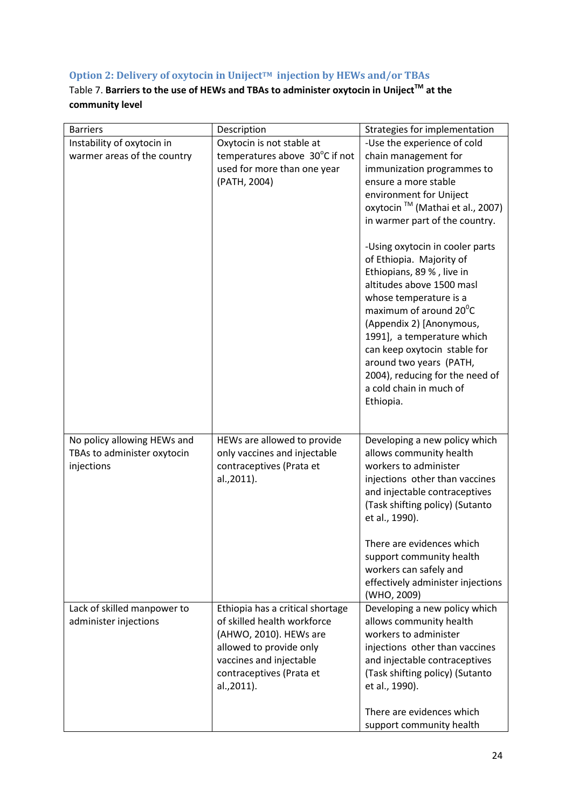# **Option 2: Delivery of oxytocin in UnijectTM injection by HEWs and/or TBAs**

# Table 7. **Barriers to the use of HEWs and TBAs to administer oxytocin in UnijectTM at the community level**

| <b>Barriers</b>             | Description                      | Strategies for implementation                     |
|-----------------------------|----------------------------------|---------------------------------------------------|
| Instability of oxytocin in  | Oxytocin is not stable at        | -Use the experience of cold                       |
| warmer areas of the country | temperatures above 30°C if not   | chain management for                              |
|                             | used for more than one year      | immunization programmes to                        |
|                             | (PATH, 2004)                     | ensure a more stable                              |
|                             |                                  | environment for Uniject                           |
|                             |                                  | oxytocin <sup>™</sup> (Mathai et al., 2007)       |
|                             |                                  | in warmer part of the country.                    |
|                             |                                  | -Using oxytocin in cooler parts                   |
|                             |                                  | of Ethiopia. Majority of                          |
|                             |                                  | Ethiopians, 89 %, live in                         |
|                             |                                  | altitudes above 1500 masl                         |
|                             |                                  | whose temperature is a                            |
|                             |                                  | maximum of around 20 <sup>°</sup> C               |
|                             |                                  | (Appendix 2) [Anonymous,                          |
|                             |                                  | 1991], a temperature which                        |
|                             |                                  | can keep oxytocin stable for                      |
|                             |                                  | around two years (PATH,                           |
|                             |                                  | 2004), reducing for the need of                   |
|                             |                                  | a cold chain in much of<br>Ethiopia.              |
|                             |                                  |                                                   |
|                             |                                  |                                                   |
| No policy allowing HEWs and | HEWs are allowed to provide      | Developing a new policy which                     |
| TBAs to administer oxytocin | only vaccines and injectable     | allows community health                           |
| injections                  | contraceptives (Prata et         | workers to administer                             |
|                             | al.,2011).                       | injections other than vaccines                    |
|                             |                                  | and injectable contraceptives                     |
|                             |                                  | (Task shifting policy) (Sutanto<br>et al., 1990). |
|                             |                                  |                                                   |
|                             |                                  | There are evidences which                         |
|                             |                                  | support community health                          |
|                             |                                  | workers can safely and                            |
|                             |                                  | effectively administer injections                 |
|                             |                                  | (WHO, 2009)                                       |
| Lack of skilled manpower to | Ethiopia has a critical shortage | Developing a new policy which                     |
| administer injections       | of skilled health workforce      | allows community health                           |
|                             | (AHWO, 2010). HEWs are           | workers to administer                             |
|                             | allowed to provide only          | injections other than vaccines                    |
|                             | vaccines and injectable          | and injectable contraceptives                     |
|                             | contraceptives (Prata et         | (Task shifting policy) (Sutanto                   |
|                             | al.,2011).                       | et al., 1990).                                    |
|                             |                                  | There are evidences which                         |
|                             |                                  | support community health                          |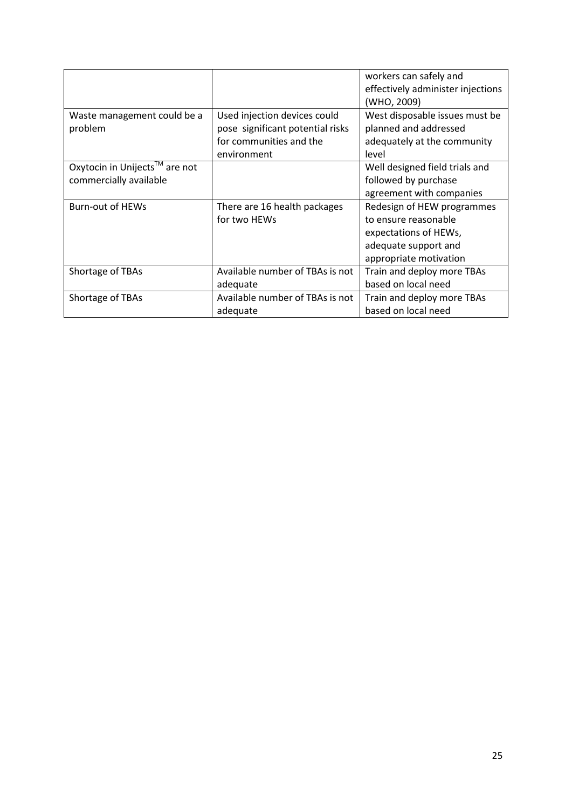|                               |                                  | workers can safely and            |
|-------------------------------|----------------------------------|-----------------------------------|
|                               |                                  | effectively administer injections |
|                               |                                  | (WHO, 2009)                       |
| Waste management could be a   | Used injection devices could     | West disposable issues must be    |
| problem                       | pose significant potential risks | planned and addressed             |
|                               | for communities and the          | adequately at the community       |
|                               | environment                      | level                             |
| Oxytocin in Unijects™ are not |                                  | Well designed field trials and    |
| commercially available        |                                  | followed by purchase              |
|                               |                                  | agreement with companies          |
| <b>Burn-out of HEWs</b>       | There are 16 health packages     | Redesign of HEW programmes        |
|                               | for two HEWs                     | to ensure reasonable              |
|                               |                                  | expectations of HEWs,             |
|                               |                                  | adequate support and              |
|                               |                                  | appropriate motivation            |
| Shortage of TBAs              | Available number of TBAs is not  | Train and deploy more TBAs        |
|                               | adequate                         | based on local need               |
| Shortage of TBAs              | Available number of TBAs is not  | Train and deploy more TBAs        |
|                               | adequate                         | based on local need               |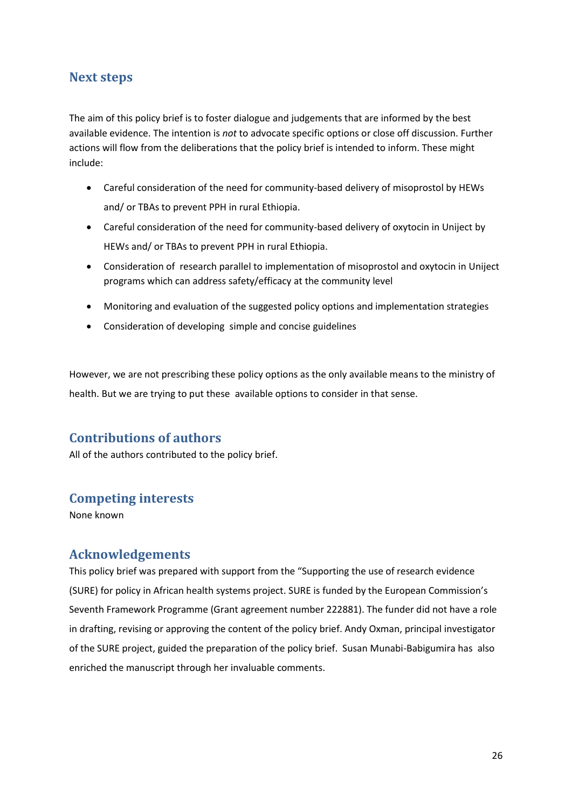# <span id="page-25-0"></span>**Next steps**

The aim of this policy brief is to foster dialogue and judgements that are informed by the best available evidence. The intention is *not* to advocate specific options or close off discussion. Further actions will flow from the deliberations that the policy brief is intended to inform. These might include:

- Careful consideration of the need for community-based delivery of misoprostol by HEWs and/ or TBAs to prevent PPH in rural Ethiopia.
- Careful consideration of the need for community-based delivery of oxytocin in Uniject by HEWs and/ or TBAs to prevent PPH in rural Ethiopia.
- Consideration of research parallel to implementation of misoprostol and oxytocin in Uniject programs which can address safety/efficacy at the community level
- Monitoring and evaluation of the suggested policy options and implementation strategies
- Consideration of developing simple and concise guidelines

However, we are not prescribing these policy options as the only available means to the ministry of health. But we are trying to put these available options to consider in that sense.

# <span id="page-25-1"></span>**Contributions of authors**

All of the authors contributed to the policy brief.

### <span id="page-25-2"></span>**Competing interests**

None known

### <span id="page-25-3"></span>**Acknowledgements**

This policy brief was prepared with support from the "Supporting the use of research evidence (SURE) for policy in African health systems project. SURE is funded by the European Commission's Seventh Framework Programme (Grant agreement number 222881). The funder did not have a role in drafting, revising or approving the content of the policy brief. Andy Oxman, principal investigator of the SURE project, guided the preparation of the policy brief. Susan Munabi-Babigumira has also enriched the manuscript through her invaluable comments.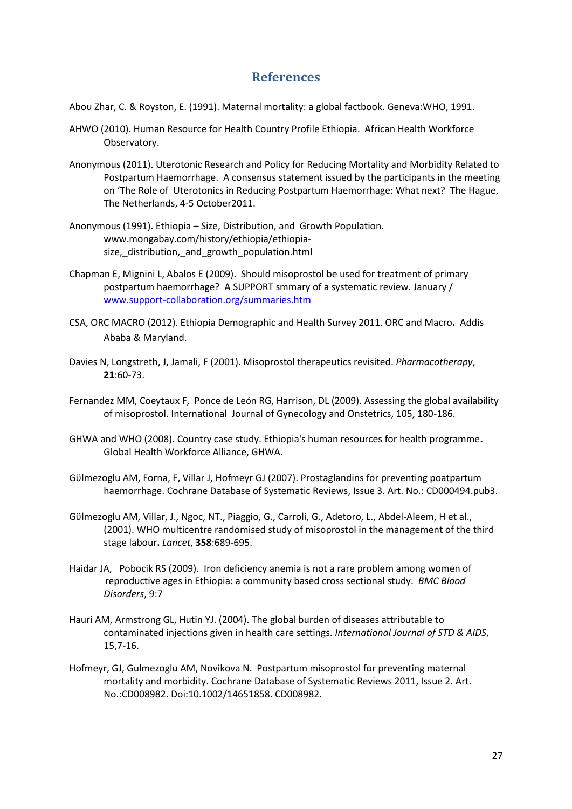### **References**

<span id="page-26-0"></span>Abou Zhar, C. & Royston, E. (1991). Maternal mortality: a global factbook. Geneva:WHO, 1991.

- AHWO (2010). Human Resource for Health Country Profile Ethiopia. African Health Workforce Observatory.
- Anonymous (2011). Uterotonic Research and Policy for Reducing Mortality and Morbidity Related to Postpartum Haemorrhage. A consensus statement issued by the participants in the meeting on 'The Role of Uterotonics in Reducing Postpartum Haemorrhage: What next? The Hague, The Netherlands, 4-5 October2011.
- Anonymous (1991). Ethiopia Size, Distribution, and Growth Population. www.mongabay.com/history/ethiopia/ethiopiasize, distribution, and growth population.html
- Chapman E, Mignini L, Abalos E (2009). Should misoprostol be used for treatment of primary postpartum haemorrhage? A SUPPORT smmary of a systematic review. January / [www.support-collaboration.org/summaries.htm](http://www.support-collaboration.org/summaries.htm)
- CSA, ORC MACRO (2012). Ethiopia Demographic and Health Survey 2011. ORC and Macro**.** Addis Ababa & Maryland.
- Davies N, Longstreth, J, Jamali, F (2001). Misoprostol therapeutics revisited. *Pharmacotherapy*, **21**:60-73.
- Fernandez MM, Coeytaux F, Ponce de León RG, Harrison, DL (2009). Assessing the global availability of misoprostol. International Journal of Gynecology and Onstetrics, 105, 180-186.
- GHWA and WHO (2008). Country case study. Ethiopia's human resources for health programme**.** Global Health Workforce Alliance, GHWA.
- Gϋlmezoglu AM, Forna, F, Villar J, Hofmeyr GJ (2007). Prostaglandins for preventing poatpartum haemorrhage. Cochrane Database of Systematic Reviews, Issue 3. Art. No.: CD000494.pub3.
- Gϋlmezoglu AM, Villar, J., Ngoc, NT., Piaggio, G., Carroli, G., Adetoro, L., Abdel-Aleem, H et al., (2001). WHO multicentre randomised study of misoprostol in the management of the third stage labour**.** *Lancet*, **358**:689-695.
- Haidar JA, Pobocik RS (2009). Iron deficiency anemia is not a rare problem among women of reproductive ages in Ethiopia: a community based cross sectional study. *BMC Blood Disorders*, 9:7
- Hauri AM, Armstrong GL, Hutin YJ. (2004). The global burden of diseases attributable to contaminated injections given in health care settings. *International Journal of STD & AIDS*, 15,7-16.
- Hofmeyr, GJ, Gulmezoglu AM, Novikova N. Postpartum misoprostol for preventing maternal mortality and morbidity. Cochrane Database of Systematic Reviews 2011, Issue 2. Art. No.:CD008982. Doi:10.1002/14651858. CD008982.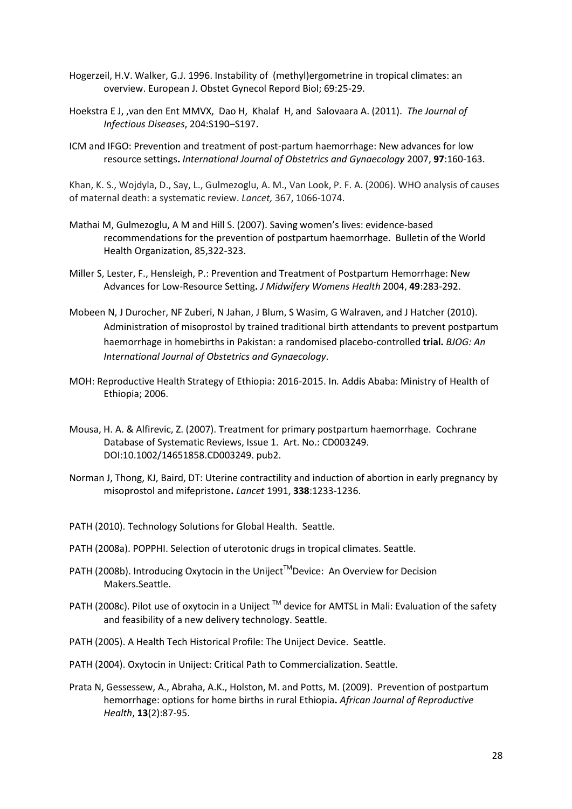- Hogerzeil, H.V. Walker, G.J. 1996. Instability of (methyl)ergometrine in tropical climates: an overview. European J. Obstet Gynecol Repord Biol; 69:25-29.
- Hoekstra E J, ,van den Ent MMVX, Dao H, Khalaf H, and Salovaara A. (2011). *The Journal of Infectious Diseases*, 204:S190–S197.
- ICM and IFGO: Prevention and treatment of post-partum haemorrhage: New advances for low resource settings**.** *International Journal of Obstetrics and Gynaecology* 2007, **97**:160-163.

Khan, K. S., Wojdyla, D., Say, L., Gulmezoglu, A. M., Van Look, P. F. A. (2006). WHO analysis of causes of maternal death: a systematic review. *Lancet,* 367, 1066-1074.

- Mathai M, Gulmezoglu, A M and Hill S. (2007). Saving women's lives: evidence-based recommendations for the prevention of postpartum haemorrhage. Bulletin of the World Health Organization, 85,322-323.
- Miller S, Lester, F., Hensleigh, P.: Prevention and Treatment of Postpartum Hemorrhage: New Advances for Low-Resource Setting**.** *J Midwifery Womens Health* 2004, **49**:283-292.
- Mobeen N, J Durocher, NF Zuberi, N Jahan, J Blum, S Wasim, G Walraven, and J Hatcher (2010). Administration of misoprostol by trained traditional birth attendants to prevent postpartum haemorrhage in homebirths in Pakistan: a randomised placebo-controlled **trial.** *BJOG: An International Journal of Obstetrics and Gynaecology*.
- MOH: Reproductive Health Strategy of Ethiopia: 2016-2015. In*.* Addis Ababa: Ministry of Health of Ethiopia; 2006.
- Mousa, H. A. & Alfirevic, Z. (2007). Treatment for primary postpartum haemorrhage. Cochrane Database of Systematic Reviews, Issue 1. Art. No.: CD003249. DOI:10.1002/14651858.CD003249. pub2.
- Norman J, Thong, KJ, Baird, DT: Uterine contractility and induction of abortion in early pregnancy by misoprostol and mifepristone**.** *Lancet* 1991, **338**:1233-1236.
- PATH (2010). Technology Solutions for Global Health. Seattle.
- PATH (2008a). POPPHI. Selection of uterotonic drugs in tropical climates. Seattle.
- PATH (2008b). Introducing Oxytocin in the Uniject™Device: An Overview for Decision Makers.Seattle.
- PATH (2008c). Pilot use of oxytocin in a Uniject ™ device for AMTSL in Mali: Evaluation of the safety and feasibility of a new delivery technology. Seattle.
- PATH (2005). A Health Tech Historical Profile: The Uniject Device. Seattle.
- PATH (2004). Oxytocin in Uniject: Critical Path to Commercialization. Seattle.
- Prata N, Gessessew, A., Abraha, A.K., Holston, M. and Potts, M. (2009). Prevention of postpartum hemorrhage: options for home births in rural Ethiopia**.** *African Journal of Reproductive Health*, **13**(2):87-95.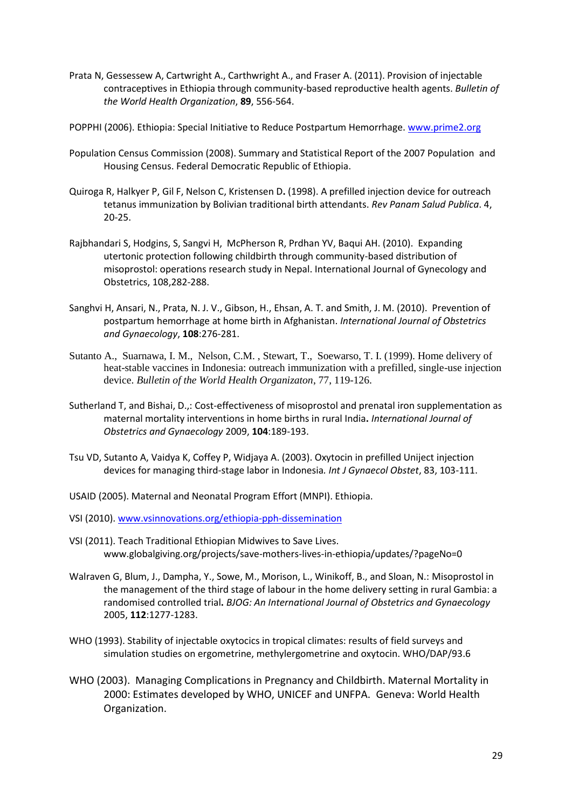- Prata N, Gessessew A, Cartwright A., Carthwright A., and Fraser A. (2011). Provision of injectable contraceptives in Ethiopia through community-based reproductive health agents. *Bulletin of the World Health Organization*, **89**, 556-564.
- POPPHI (2006). Ethiopia: Special Initiative to Reduce Postpartum Hemorrhage[. www.prime2.org](http://www.prime2.org/)
- Population Census Commission (2008). Summary and Statistical Report of the 2007 Population and Housing Census. Federal Democratic Republic of Ethiopia.
- [Quiroga R,](http://www.ncbi.nlm.nih.gov/pubmed?term=%22Quiroga%20R%22%5BAuthor%5D) [Halkyer P,](http://www.ncbi.nlm.nih.gov/pubmed?term=%22Halkyer%20P%22%5BAuthor%5D) [Gil F,](http://www.ncbi.nlm.nih.gov/pubmed?term=%22Gil%20F%22%5BAuthor%5D) [Nelson C,](http://www.ncbi.nlm.nih.gov/pubmed?term=%22Nelson%20C%22%5BAuthor%5D) [Kristensen D](http://www.ncbi.nlm.nih.gov/pubmed?term=%22Kristensen%20D%22%5BAuthor%5D)**.** (1998). A prefilled injection device for outreach tetanus immunization by Bolivian traditional birth attendants. *Rev Panam Salud Publica*. 4, 20-25.
- Rajbhandari S, Hodgins, S, Sangvi H, McPherson R, Prdhan YV, Baqui AH. (2010). Expanding utertonic protection following childbirth through community-based distribution of misoprostol: operations research study in Nepal. International Journal of Gynecology and Obstetrics, 108,282-288.
- Sanghvi H, Ansari, N., Prata, N. J. V., Gibson, H., Ehsan, A. T. and Smith, J. M. (2010). Prevention of postpartum hemorrhage at home birth in Afghanistan. *International Journal of Obstetrics and Gynaecology*, **108**:276-281.
- Sutanto A., Suarnawa, I. M., Nelson, C.M. , Stewart, T., Soewarso, T. I. (1999). Home delivery of heat-stable vaccines in Indonesia: outreach immunization with a prefilled, single-use injection device. *Bulletin of the World Health Organizaton*, 77, 119-126.
- Sutherland T, and Bishai, D.,: Cost-effectiveness of misoprostol and prenatal iron supplementation as maternal mortality interventions in home births in rural India**.** *International Journal of Obstetrics and Gynaecology* 2009, **104**:189-193.
- Tsu VD, Sutanto A, Vaidya K, Coffey P, Widjaya A. (2003). Oxytocin in prefilled Uniject injection devices for managing third-stage labor in Indonesia*. Int J Gynaecol Obstet*, 83, 103-111.
- USAID (2005). Maternal and Neonatal Program Effort (MNPI). Ethiopia.
- VSI (2010). [www.vsinnovations.org/ethiopia-pph-dissemination](http://www.vsinnovations.org/ethiopia-pph-dissemination)
- VSI (2011). Teach Traditional Ethiopian Midwives to Save Lives. www.globalgiving.org/projects/save-mothers-lives-in-ethiopia/updates/?pageNo=0
- Walraven G, Blum, J., Dampha, Y., Sowe, M., Morison, L., Winikoff, B., and Sloan, N.: Misoprostol in the management of the third stage of labour in the home delivery setting in rural Gambia: a randomised controlled trial**.** *BJOG: An International Journal of Obstetrics and Gynaecology*  2005, **112**:1277-1283.
- WHO (1993). Stability of injectable oxytocics in tropical climates: results of field surveys and simulation studies on ergometrine, methylergometrine and oxytocin. WHO/DAP/93.6
- WHO (2003). Managing Complications in Pregnancy and Childbirth. Maternal Mortality in 2000: Estimates developed by WHO, UNICEF and UNFPA. Geneva: World Health Organization.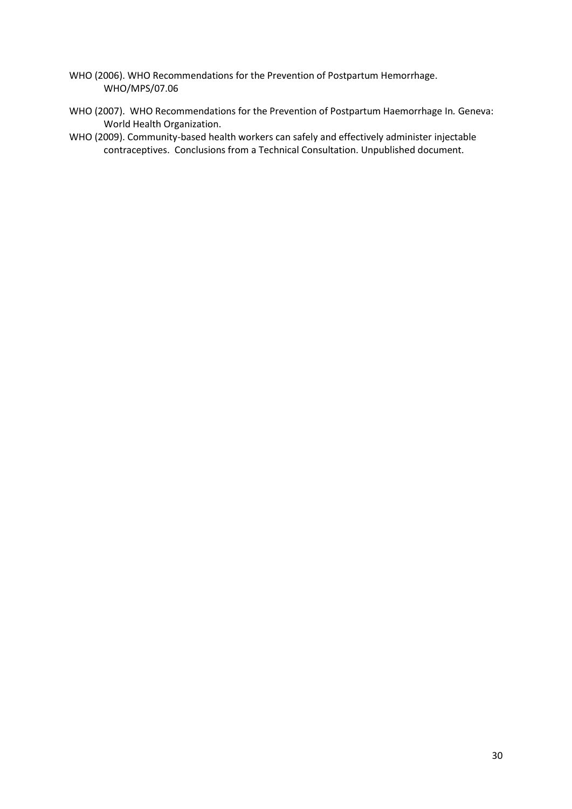- WHO (2006). WHO Recommendations for the Prevention of Postpartum Hemorrhage. WHO/MPS/07.06
- WHO (2007). WHO Recommendations for the Prevention of Postpartum Haemorrhage In*.* Geneva: World Health Organization.
- WHO (2009). Community-based health workers can safely and effectively administer injectable contraceptives. Conclusions from a Technical Consultation. Unpublished document.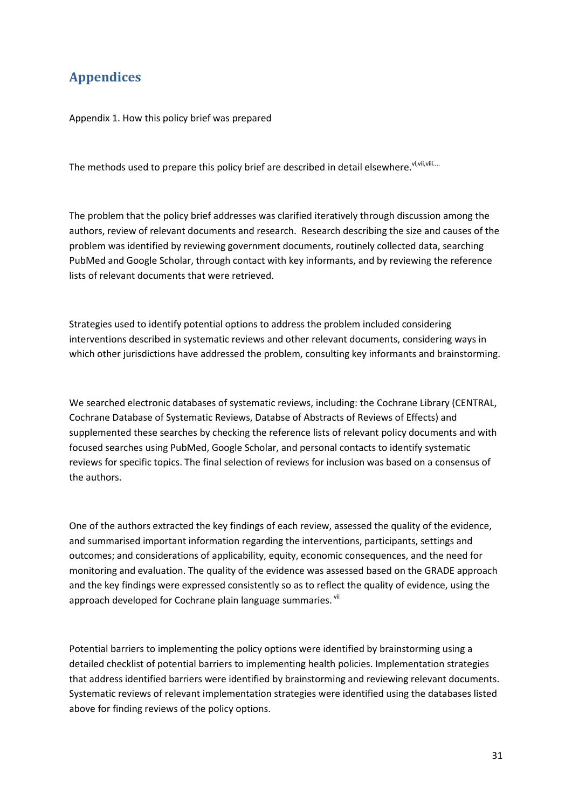# <span id="page-30-0"></span>**Appendices**

Appendix 1. How this policy brief was prepared

<span id="page-30-1"></span>The methods used to prepare this policy brief are described in detail elsewhere. Vi, Vili, Vili....

The problem that the policy brief addresses was clarified iteratively through discussion among the authors, review of relevant documents and research. Research describing the size and causes of the problem was identified by reviewing government documents, routinely collected data, searching PubMed and Google Scholar, through contact with key informants, and by reviewing the reference lists of relevant documents that were retrieved.

Strategies used to identify potential options to address the problem included considering interventions described in systematic reviews and other relevant documents, considering ways in which other jurisdictions have addressed the problem, consulting key informants and brainstorming.

We searched electronic databases of systematic reviews, including: the Cochrane Library (CENTRAL, Cochrane Database of Systematic Reviews, Databse of Abstracts of Reviews of Effects) and supplemented these searches by checking the reference lists of relevant policy documents and with focused searches using PubMed, Google Scholar, and personal contacts to identify systematic reviews for specific topics. The final selection of reviews for inclusion was based on a consensus of the authors.

One of the authors extracted the key findings of each review, assessed the quality of the evidence, and summarised important information regarding the interventions, participants, settings and outcomes; and considerations of applicability, equity, economic consequences, and the need for monitoring and evaluation. The quality of the evidence was assessed based on the GRADE approach and the key findings were expressed consistently so as to reflect the quality of evidence, using the approach developed for Cochrane plain language summaries. Vii

Potential barriers to implementing the policy options were identified by brainstorming using a detailed checklist of potential barriers to implementing health policies. Implementation strategies that address identified barriers were identified by brainstorming and reviewing relevant documents. Systematic reviews of relevant implementation strategies were identified using the databases listed above for finding reviews of the policy options.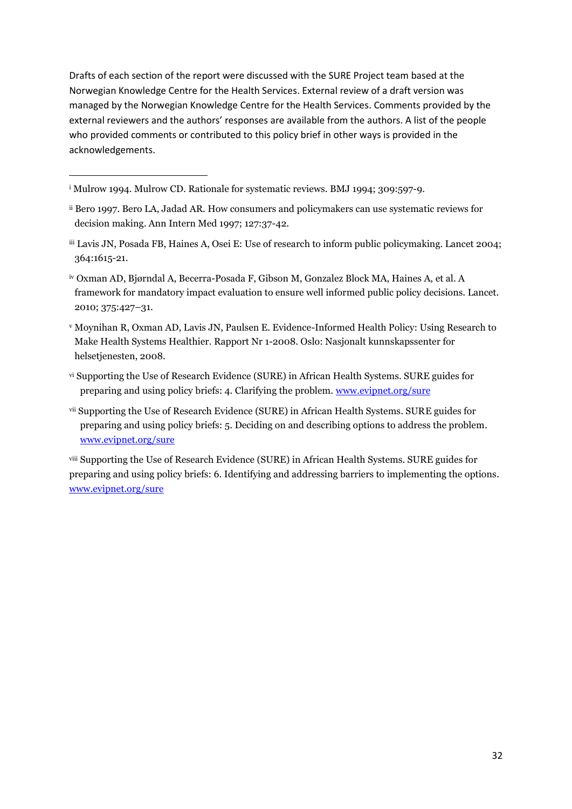Drafts of each section of the report were discussed with the SURE Project team based at the Norwegian Knowledge Centre for the Health Services. External review of a draft version was managed by the Norwegian Knowledge Centre for the Health Services. Comments provided by the external reviewers and the authors' responses are available from the authors. A list of the people who provided comments or contributed to this policy brief in other ways is provided in the acknowledgements.

**.** 

- iii Lavis JN, Posada FB, Haines A, Osei E: Use of research to inform public policymaking. Lancet 2004; 364:1615-21.
- iv Oxman AD, Bjørndal A, Becerra-Posada F, Gibson M, Gonzalez Block MA, Haines A, et al. A framework for mandatory impact evaluation to ensure well informed public policy decisions. Lancet. 2010; 375:427–31.
- <sup>v</sup> Moynihan R, Oxman AD, Lavis JN, Paulsen E. Evidence-Informed Health Policy: Using Research to Make Health Systems Healthier. Rapport Nr 1-2008. Oslo: Nasjonalt kunnskapssenter for helsetjenesten, 2008.
- vi Supporting the Use of Research Evidence (SURE) in African Health Systems. SURE guides for preparing and using policy briefs: 4. Clarifying the problem[. www.evipnet.org/sure](http://www.evipnet.org/sure)
- vii Supporting the Use of Research Evidence (SURE) in African Health Systems. SURE guides for preparing and using policy briefs: 5. Deciding on and describing options to address the problem. [www.evipnet.org/sure](http://www.evipnet.org/sure)

viii Supporting the Use of Research Evidence (SURE) in African Health Systems. SURE guides for preparing and using policy briefs: 6. Identifying and addressing barriers to implementing the options. [www.evipnet.org/sure](http://www.evipnet.org/sure)

<sup>i</sup> Mulrow 1994. Mulrow CD. Rationale for systematic reviews. BMJ 1994; 309:597-9.

ii Bero 1997. Bero LA, Jadad AR. How consumers and policymakers can use systematic reviews for decision making. Ann Intern Med 1997; 127:37-42.